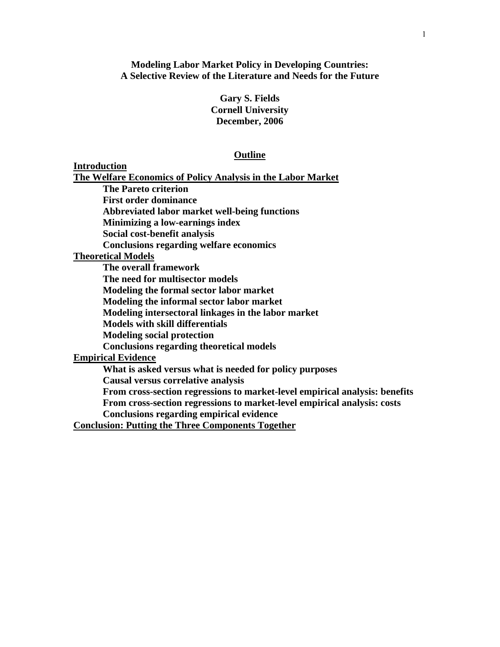**Modeling Labor Market Policy in Developing Countries: A Selective Review of the Literature and Needs for the Future** 

> **Gary S. Fields Cornell University December, 2006**

#### **Outline**

**Introduction** 

**The Welfare Economics of Policy Analysis in the Labor Market**

 **The Pareto criterion** 

 **First order dominance** 

 **Abbreviated labor market well-being functions** 

**Minimizing a low-earnings index** 

 **Social cost-benefit analysis** 

 **Conclusions regarding welfare economics** 

**Theoretical Models**

 **The overall framework The need for multisector models Modeling the formal sector labor market Modeling the informal sector labor market Modeling intersectoral linkages in the labor market Models with skill differentials Modeling social protection Conclusions regarding theoretical models Empirical Evidence What is asked versus what is needed for policy purposes Causal versus correlative analysis From cross-section regressions to market-level empirical analysis: benefits From cross-section regressions to market-level empirical analysis: costs Conclusions regarding empirical evidence** 

**Conclusion: Putting the Three Components Together**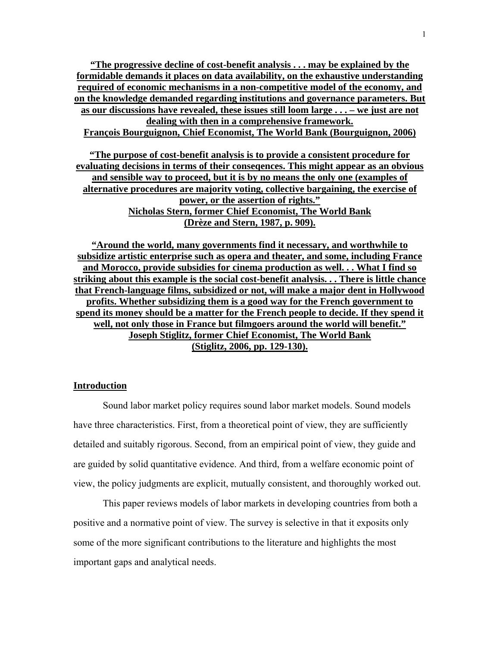**"The progressive decline of cost-benefit analysis . . . may be explained by the formidable demands it places on data availability, on the exhaustive understanding required of economic mechanisms in a non-competitive model of the economy, and on the knowledge demanded regarding institutions and governance parameters. But as our discussions have revealed, these issues still loom large . . . – we just are not dealing with then in a comprehensive framework. François Bourguignon, Chief Economist, The World Bank (Bourguignon, 2006)**

**"The purpose of cost-benefit analysis is to provide a consistent procedure for evaluating decisions in terms of their conseqences. This might appear as an obvious and sensible way to proceed, but it is by no means the only one (examples of alternative procedures are majority voting, collective bargaining, the exercise of power, or the assertion of rights." Nicholas Stern, former Chief Economist, The World Bank (Drèze and Stern, 1987, p. 909).**

**"Around the world, many governments find it necessary, and worthwhile to subsidize artistic enterprise such as opera and theater, and some, including France and Morocco, provide subsidies for cinema production as well. . . What I find so striking about this example is the social cost-benefit analysis. . . There is little chance that French-language films, subsidized or not, will make a major dent in Hollywood profits. Whether subsidizing them is a good way for the French government to spend its money should be a matter for the French people to decide. If they spend it well, not only those in France but filmgoers around the world will benefit." Joseph Stiglitz, former Chief Economist, The World Bank (Stiglitz, 2006, pp. 129-130).**

#### **Introduction**

Sound labor market policy requires sound labor market models. Sound models have three characteristics. First, from a theoretical point of view, they are sufficiently detailed and suitably rigorous. Second, from an empirical point of view, they guide and are guided by solid quantitative evidence. And third, from a welfare economic point of view, the policy judgments are explicit, mutually consistent, and thoroughly worked out.

This paper reviews models of labor markets in developing countries from both a positive and a normative point of view. The survey is selective in that it exposits only some of the more significant contributions to the literature and highlights the most important gaps and analytical needs.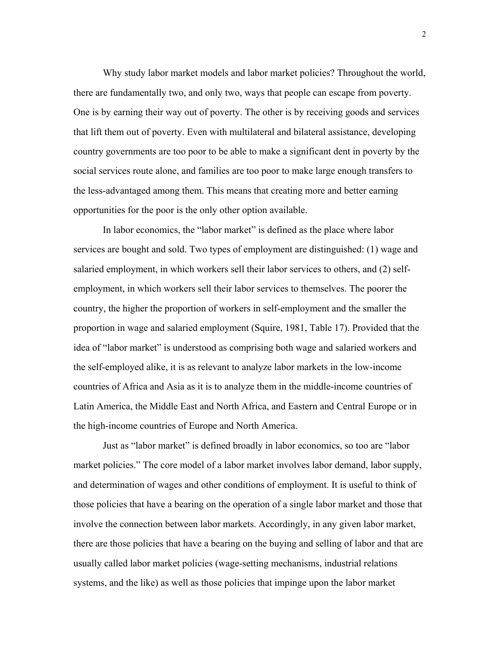Why study labor market models and labor market policies? Throughout the world, there are fundamentally two, and only two, ways that people can escape from poverty. One is by earning their way out of poverty. The other is by receiving goods and services that lift them out of poverty. Even with multilateral and bilateral assistance, developing country governments are too poor to be able to make a significant dent in poverty by the social services route alone, and families are too poor to make large enough transfers to the less-advantaged among them. This means that creating more and better earning opportunities for the poor is the only other option available.

 In labor economics, the "labor market" is defined as the place where labor services are bought and sold. Two types of employment are distinguished: (1) wage and salaried employment, in which workers sell their labor services to others, and (2) selfemployment, in which workers sell their labor services to themselves. The poorer the country, the higher the proportion of workers in self-employment and the smaller the proportion in wage and salaried employment (Squire, 1981, Table 17). Provided that the idea of "labor market" is understood as comprising both wage and salaried workers and the self-employed alike, it is as relevant to analyze labor markets in the low-income countries of Africa and Asia as it is to analyze them in the middle-income countries of Latin America, the Middle East and North Africa, and Eastern and Central Europe or in the high-income countries of Europe and North America.

 Just as "labor market" is defined broadly in labor economics, so too are "labor market policies." The core model of a labor market involves labor demand, labor supply, and determination of wages and other conditions of employment. It is useful to think of those policies that have a bearing on the operation of a single labor market and those that involve the connection between labor markets. Accordingly, in any given labor market, there are those policies that have a bearing on the buying and selling of labor and that are usually called labor market policies (wage-setting mechanisms, industrial relations systems, and the like) as well as those policies that impinge upon the labor market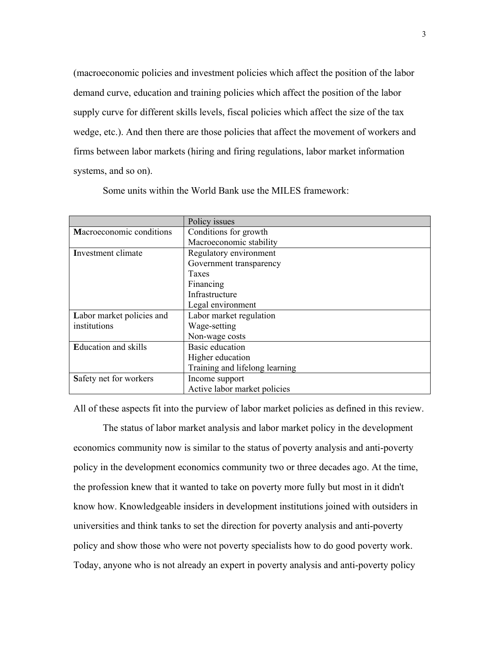(macroeconomic policies and investment policies which affect the position of the labor demand curve, education and training policies which affect the position of the labor supply curve for different skills levels, fiscal policies which affect the size of the tax wedge, etc.). And then there are those policies that affect the movement of workers and firms between labor markets (hiring and firing regulations, labor market information systems, and so on).

|                             | Policy issues                  |
|-----------------------------|--------------------------------|
| Macroeconomic conditions    | Conditions for growth          |
|                             | Macroeconomic stability        |
| Investment climate          | Regulatory environment         |
|                             | Government transparency        |
|                             | Taxes                          |
|                             | Financing                      |
|                             | Infrastructure                 |
|                             | Legal environment              |
| Labor market policies and   | Labor market regulation        |
| institutions                | Wage-setting                   |
|                             | Non-wage costs                 |
| <b>Education and skills</b> | <b>Basic</b> education         |
|                             | Higher education               |
|                             | Training and lifelong learning |
| Safety net for workers      | Income support                 |
|                             | Active labor market policies   |

Some units within the World Bank use the MILES framework:

All of these aspects fit into the purview of labor market policies as defined in this review.

The status of labor market analysis and labor market policy in the development economics community now is similar to the status of poverty analysis and anti-poverty policy in the development economics community two or three decades ago. At the time, the profession knew that it wanted to take on poverty more fully but most in it didn't know how. Knowledgeable insiders in development institutions joined with outsiders in universities and think tanks to set the direction for poverty analysis and anti-poverty policy and show those who were not poverty specialists how to do good poverty work. Today, anyone who is not already an expert in poverty analysis and anti-poverty policy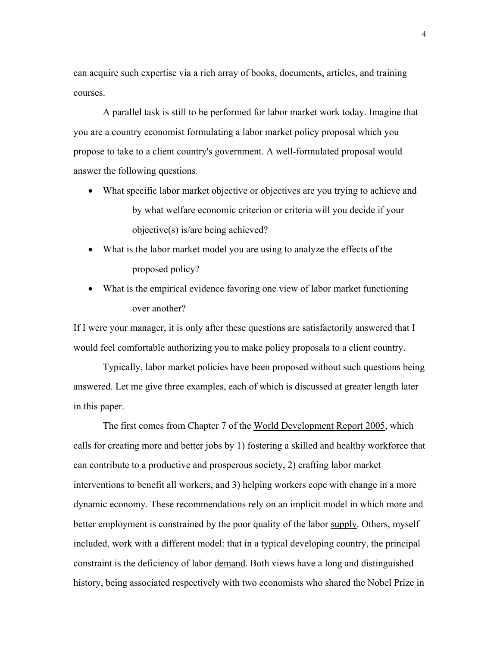can acquire such expertise via a rich array of books, documents, articles, and training courses.

A parallel task is still to be performed for labor market work today. Imagine that you are a country economist formulating a labor market policy proposal which you propose to take to a client country's government. A well-formulated proposal would answer the following questions.

- What specific labor market objective or objectives are you trying to achieve and by what welfare economic criterion or criteria will you decide if your objective(s) is/are being achieved?
- What is the labor market model you are using to analyze the effects of the proposed policy?
- What is the empirical evidence favoring one view of labor market functioning over another?

If I were your manager, it is only after these questions are satisfactorily answered that I would feel comfortable authorizing you to make policy proposals to a client country.

Typically, labor market policies have been proposed without such questions being answered. Let me give three examples, each of which is discussed at greater length later in this paper.

The first comes from Chapter 7 of the World Development Report 2005, which calls for creating more and better jobs by 1) fostering a skilled and healthy workforce that can contribute to a productive and prosperous society, 2) crafting labor market interventions to benefit all workers, and 3) helping workers cope with change in a more dynamic economy. These recommendations rely on an implicit model in which more and better employment is constrained by the poor quality of the labor supply. Others, myself included, work with a different model: that in a typical developing country, the principal constraint is the deficiency of labor demand. Both views have a long and distinguished history, being associated respectively with two economists who shared the Nobel Prize in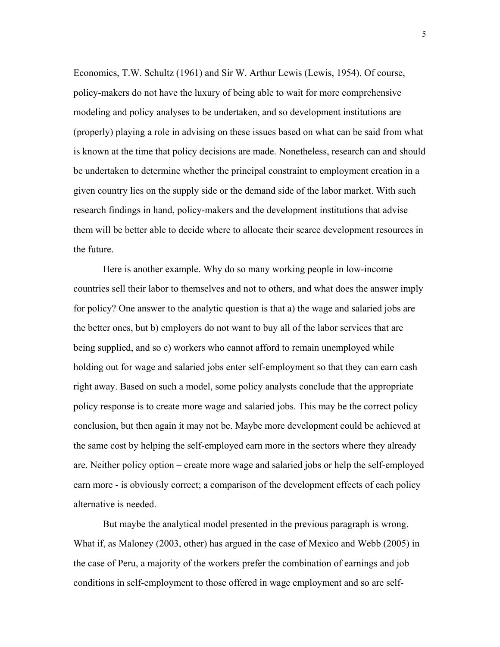Economics, T.W. Schultz (1961) and Sir W. Arthur Lewis (Lewis, 1954). Of course, policy-makers do not have the luxury of being able to wait for more comprehensive modeling and policy analyses to be undertaken, and so development institutions are (properly) playing a role in advising on these issues based on what can be said from what is known at the time that policy decisions are made. Nonetheless, research can and should be undertaken to determine whether the principal constraint to employment creation in a given country lies on the supply side or the demand side of the labor market. With such research findings in hand, policy-makers and the development institutions that advise them will be better able to decide where to allocate their scarce development resources in the future.

Here is another example. Why do so many working people in low-income countries sell their labor to themselves and not to others, and what does the answer imply for policy? One answer to the analytic question is that a) the wage and salaried jobs are the better ones, but b) employers do not want to buy all of the labor services that are being supplied, and so c) workers who cannot afford to remain unemployed while holding out for wage and salaried jobs enter self-employment so that they can earn cash right away. Based on such a model, some policy analysts conclude that the appropriate policy response is to create more wage and salaried jobs. This may be the correct policy conclusion, but then again it may not be. Maybe more development could be achieved at the same cost by helping the self-employed earn more in the sectors where they already are. Neither policy option – create more wage and salaried jobs or help the self-employed earn more - is obviously correct; a comparison of the development effects of each policy alternative is needed.

But maybe the analytical model presented in the previous paragraph is wrong. What if, as Maloney (2003, other) has argued in the case of Mexico and Webb (2005) in the case of Peru, a majority of the workers prefer the combination of earnings and job conditions in self-employment to those offered in wage employment and so are self-

5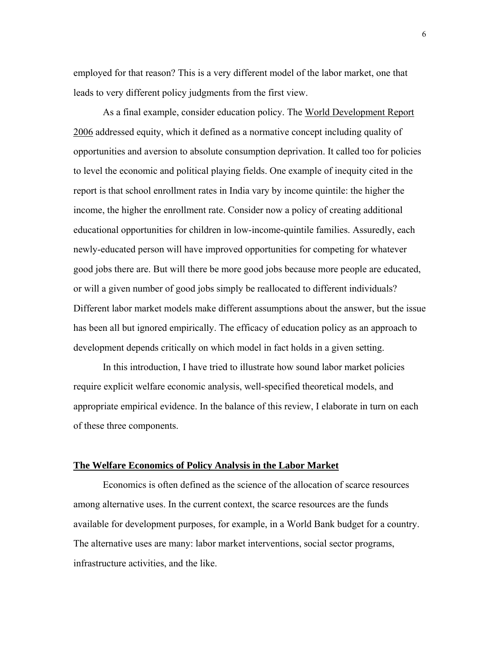employed for that reason? This is a very different model of the labor market, one that leads to very different policy judgments from the first view.

As a final example, consider education policy. The World Development Report 2006 addressed equity, which it defined as a normative concept including quality of opportunities and aversion to absolute consumption deprivation. It called too for policies to level the economic and political playing fields. One example of inequity cited in the report is that school enrollment rates in India vary by income quintile: the higher the income, the higher the enrollment rate. Consider now a policy of creating additional educational opportunities for children in low-income-quintile families. Assuredly, each newly-educated person will have improved opportunities for competing for whatever good jobs there are. But will there be more good jobs because more people are educated, or will a given number of good jobs simply be reallocated to different individuals? Different labor market models make different assumptions about the answer, but the issue has been all but ignored empirically. The efficacy of education policy as an approach to development depends critically on which model in fact holds in a given setting.

In this introduction, I have tried to illustrate how sound labor market policies require explicit welfare economic analysis, well-specified theoretical models, and appropriate empirical evidence. In the balance of this review, I elaborate in turn on each of these three components.

#### **The Welfare Economics of Policy Analysis in the Labor Market**

 Economics is often defined as the science of the allocation of scarce resources among alternative uses. In the current context, the scarce resources are the funds available for development purposes, for example, in a World Bank budget for a country. The alternative uses are many: labor market interventions, social sector programs, infrastructure activities, and the like.

6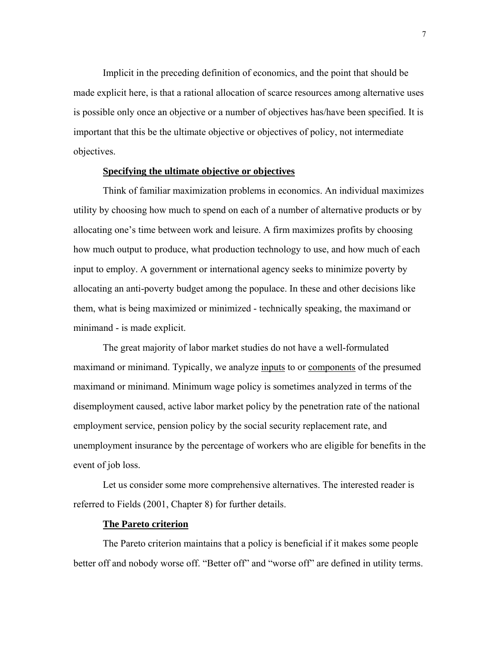Implicit in the preceding definition of economics, and the point that should be made explicit here, is that a rational allocation of scarce resources among alternative uses is possible only once an objective or a number of objectives has/have been specified. It is important that this be the ultimate objective or objectives of policy, not intermediate objectives.

# **Specifying the ultimate objective or objectives**

 Think of familiar maximization problems in economics. An individual maximizes utility by choosing how much to spend on each of a number of alternative products or by allocating one's time between work and leisure. A firm maximizes profits by choosing how much output to produce, what production technology to use, and how much of each input to employ. A government or international agency seeks to minimize poverty by allocating an anti-poverty budget among the populace. In these and other decisions like them, what is being maximized or minimized - technically speaking, the maximand or minimand - is made explicit.

The great majority of labor market studies do not have a well-formulated maximand or minimand. Typically, we analyze inputs to or components of the presumed maximand or minimand. Minimum wage policy is sometimes analyzed in terms of the disemployment caused, active labor market policy by the penetration rate of the national employment service, pension policy by the social security replacement rate, and unemployment insurance by the percentage of workers who are eligible for benefits in the event of job loss.

Let us consider some more comprehensive alternatives. The interested reader is referred to Fields (2001, Chapter 8) for further details.

## **The Pareto criterion**

The Pareto criterion maintains that a policy is beneficial if it makes some people better off and nobody worse off. "Better off" and "worse off" are defined in utility terms.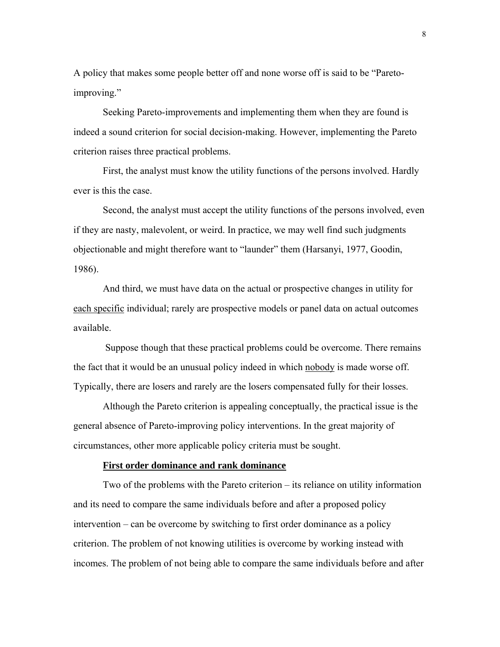A policy that makes some people better off and none worse off is said to be "Paretoimproving."

Seeking Pareto-improvements and implementing them when they are found is indeed a sound criterion for social decision-making. However, implementing the Pareto criterion raises three practical problems.

First, the analyst must know the utility functions of the persons involved. Hardly ever is this the case.

Second, the analyst must accept the utility functions of the persons involved, even if they are nasty, malevolent, or weird. In practice, we may well find such judgments objectionable and might therefore want to "launder" them (Harsanyi, 1977, Goodin, 1986).

And third, we must have data on the actual or prospective changes in utility for each specific individual; rarely are prospective models or panel data on actual outcomes available.

 Suppose though that these practical problems could be overcome. There remains the fact that it would be an unusual policy indeed in which nobody is made worse off. Typically, there are losers and rarely are the losers compensated fully for their losses.

Although the Pareto criterion is appealing conceptually, the practical issue is the general absence of Pareto-improving policy interventions. In the great majority of circumstances, other more applicable policy criteria must be sought.

## **First order dominance and rank dominance**

Two of the problems with the Pareto criterion – its reliance on utility information and its need to compare the same individuals before and after a proposed policy intervention – can be overcome by switching to first order dominance as a policy criterion. The problem of not knowing utilities is overcome by working instead with incomes. The problem of not being able to compare the same individuals before and after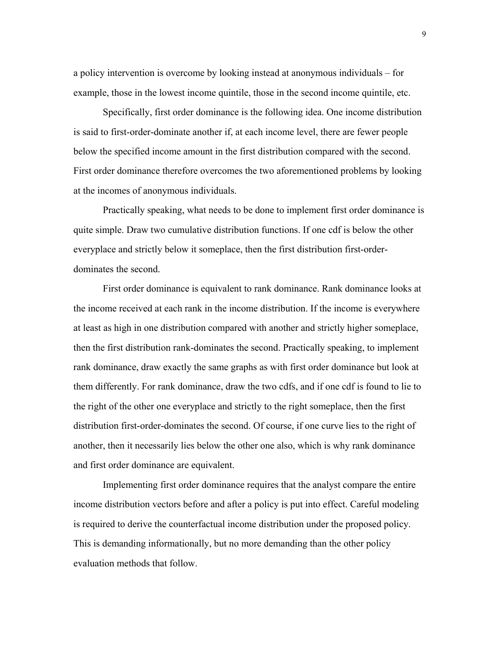a policy intervention is overcome by looking instead at anonymous individuals – for example, those in the lowest income quintile, those in the second income quintile, etc.

Specifically, first order dominance is the following idea. One income distribution is said to first-order-dominate another if, at each income level, there are fewer people below the specified income amount in the first distribution compared with the second. First order dominance therefore overcomes the two aforementioned problems by looking at the incomes of anonymous individuals.

Practically speaking, what needs to be done to implement first order dominance is quite simple. Draw two cumulative distribution functions. If one cdf is below the other everyplace and strictly below it someplace, then the first distribution first-orderdominates the second.

First order dominance is equivalent to rank dominance. Rank dominance looks at the income received at each rank in the income distribution. If the income is everywhere at least as high in one distribution compared with another and strictly higher someplace, then the first distribution rank-dominates the second. Practically speaking, to implement rank dominance, draw exactly the same graphs as with first order dominance but look at them differently. For rank dominance, draw the two cdfs, and if one cdf is found to lie to the right of the other one everyplace and strictly to the right someplace, then the first distribution first-order-dominates the second. Of course, if one curve lies to the right of another, then it necessarily lies below the other one also, which is why rank dominance and first order dominance are equivalent.

Implementing first order dominance requires that the analyst compare the entire income distribution vectors before and after a policy is put into effect. Careful modeling is required to derive the counterfactual income distribution under the proposed policy. This is demanding informationally, but no more demanding than the other policy evaluation methods that follow.

9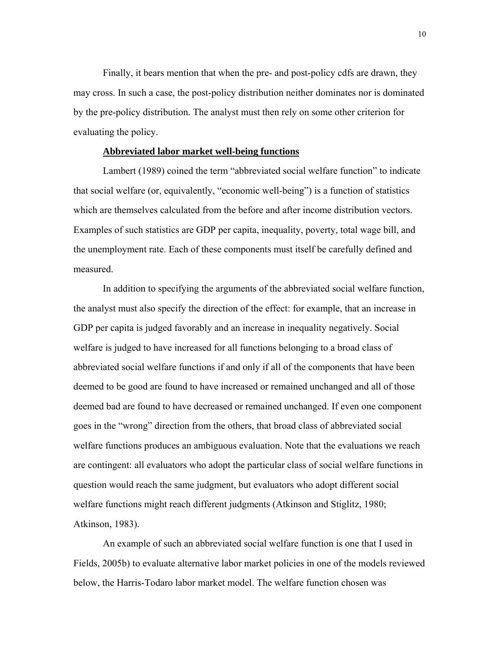Finally, it bears mention that when the pre- and post-policy cdfs are drawn, they may cross. In such a case, the post-policy distribution neither dominates nor is dominated by the pre-policy distribution. The analyst must then rely on some other criterion for evaluating the policy.

## **Abbreviated labor market well-being functions**

Lambert (1989) coined the term "abbreviated social welfare function" to indicate that social welfare (or, equivalently, "economic well-being") is a function of statistics which are themselves calculated from the before and after income distribution vectors. Examples of such statistics are GDP per capita, inequality, poverty, total wage bill, and the unemployment rate. Each of these components must itself be carefully defined and measured.

In addition to specifying the arguments of the abbreviated social welfare function, the analyst must also specify the direction of the effect: for example, that an increase in GDP per capita is judged favorably and an increase in inequality negatively. Social welfare is judged to have increased for all functions belonging to a broad class of abbreviated social welfare functions if and only if all of the components that have been deemed to be good are found to have increased or remained unchanged and all of those deemed bad are found to have decreased or remained unchanged. If even one component goes in the "wrong" direction from the others, that broad class of abbreviated social welfare functions produces an ambiguous evaluation. Note that the evaluations we reach are contingent: all evaluators who adopt the particular class of social welfare functions in question would reach the same judgment, but evaluators who adopt different social welfare functions might reach different judgments (Atkinson and Stiglitz, 1980; Atkinson, 1983).

An example of such an abbreviated social welfare function is one that I used in Fields, 2005b) to evaluate alternative labor market policies in one of the models reviewed below, the Harris-Todaro labor market model. The welfare function chosen was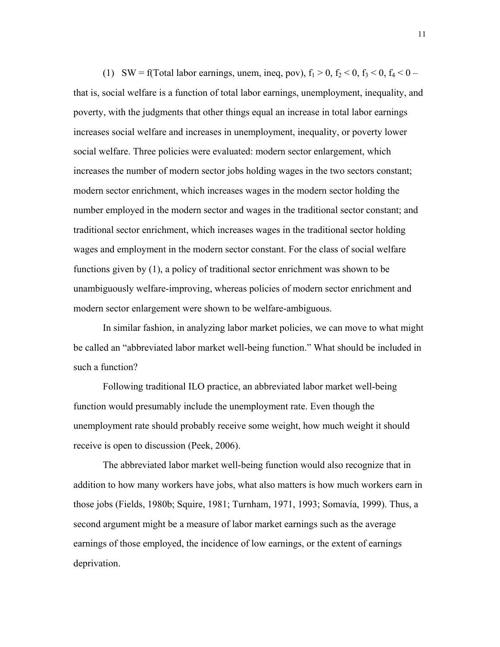(1) SW = f(Total labor earnings, unem, ineq, pov),  $f_1 > 0$ ,  $f_2 < 0$ ,  $f_3 < 0$ ,  $f_4 < 0$  – that is, social welfare is a function of total labor earnings, unemployment, inequality, and poverty, with the judgments that other things equal an increase in total labor earnings increases social welfare and increases in unemployment, inequality, or poverty lower social welfare. Three policies were evaluated: modern sector enlargement, which increases the number of modern sector jobs holding wages in the two sectors constant; modern sector enrichment, which increases wages in the modern sector holding the number employed in the modern sector and wages in the traditional sector constant; and traditional sector enrichment, which increases wages in the traditional sector holding wages and employment in the modern sector constant. For the class of social welfare functions given by (1), a policy of traditional sector enrichment was shown to be unambiguously welfare-improving, whereas policies of modern sector enrichment and modern sector enlargement were shown to be welfare-ambiguous.

In similar fashion, in analyzing labor market policies, we can move to what might be called an "abbreviated labor market well-being function." What should be included in such a function?

Following traditional ILO practice, an abbreviated labor market well-being function would presumably include the unemployment rate. Even though the unemployment rate should probably receive some weight, how much weight it should receive is open to discussion (Peek, 2006).

The abbreviated labor market well-being function would also recognize that in addition to how many workers have jobs, what also matters is how much workers earn in those jobs (Fields, 1980b; Squire, 1981; Turnham, 1971, 1993; Somavía, 1999). Thus, a second argument might be a measure of labor market earnings such as the average earnings of those employed, the incidence of low earnings, or the extent of earnings deprivation.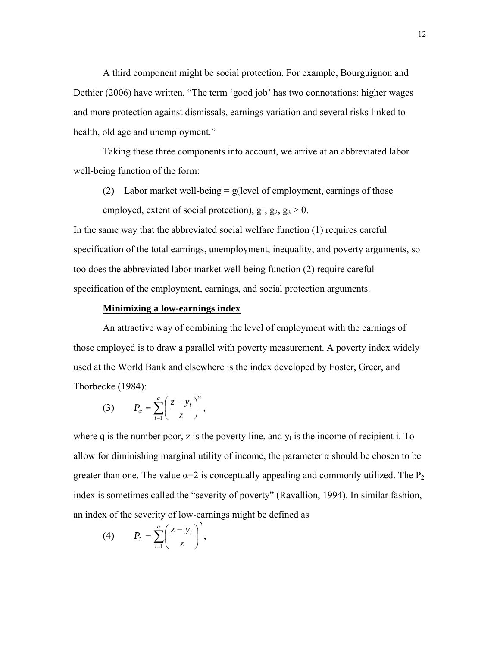A third component might be social protection. For example, Bourguignon and Dethier (2006) have written, "The term 'good job' has two connotations: higher wages and more protection against dismissals, earnings variation and several risks linked to health, old age and unemployment."

Taking these three components into account, we arrive at an abbreviated labor well-being function of the form:

(2) Labor market well-being  $=$  g(level of employment, earnings of those employed, extent of social protection),  $g_1$ ,  $g_2$ ,  $g_3 > 0$ .

In the same way that the abbreviated social welfare function (1) requires careful specification of the total earnings, unemployment, inequality, and poverty arguments, so too does the abbreviated labor market well-being function (2) require careful specification of the employment, earnings, and social protection arguments.

## **Minimizing a low-earnings index**

 An attractive way of combining the level of employment with the earnings of those employed is to draw a parallel with poverty measurement. A poverty index widely used at the World Bank and elsewhere is the index developed by Foster, Greer, and Thorbecke (1984):

$$
(3) \t P_{\alpha} = \sum_{i=1}^{q} \left( \frac{z - y_i}{z} \right)^{\alpha},
$$

where q is the number poor, z is the poverty line, and  $v_i$  is the income of recipient i. To allow for diminishing marginal utility of income, the parameter  $\alpha$  should be chosen to be greater than one. The value  $\alpha=2$  is conceptually appealing and commonly utilized. The P<sub>2</sub> index is sometimes called the "severity of poverty" (Ravallion, 1994). In similar fashion, an index of the severity of low-earnings might be defined as

$$
(4) \qquad P_2 = \sum_{i=1}^q \left(\frac{z-y_i}{z}\right)^2,
$$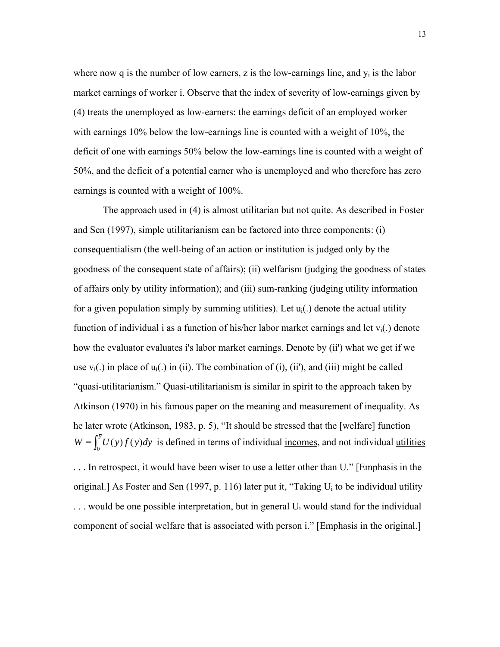where now q is the number of low earners, z is the low-earnings line, and  $y_i$  is the labor market earnings of worker i. Observe that the index of severity of low-earnings given by (4) treats the unemployed as low-earners: the earnings deficit of an employed worker with earnings 10% below the low-earnings line is counted with a weight of 10%, the deficit of one with earnings 50% below the low-earnings line is counted with a weight of 50%, and the deficit of a potential earner who is unemployed and who therefore has zero earnings is counted with a weight of 100%.

 The approach used in (4) is almost utilitarian but not quite. As described in Foster and Sen (1997), simple utilitarianism can be factored into three components: (i) consequentialism (the well-being of an action or institution is judged only by the goodness of the consequent state of affairs); (ii) welfarism (judging the goodness of states of affairs only by utility information); and (iii) sum-ranking (judging utility information for a given population simply by summing utilities). Let  $u_i(.)$  denote the actual utility function of individual i as a function of his/her labor market earnings and let  $v_i(.)$  denote how the evaluator evaluates i's labor market earnings. Denote by (ii') what we get if we use  $v_i(.)$  in place of  $u_i(.)$  in (ii). The combination of (i), (ii'), and (iii) might be called "quasi-utilitarianism." Quasi-utilitarianism is similar in spirit to the approach taken by Atkinson (1970) in his famous paper on the meaning and measurement of inequality. As he later wrote (Atkinson, 1983, p. 5), "It should be stressed that the [welfare] function  $W = \int_0^{\bar{y}} U(y)f(y)dy$  is defined in terms of individual <u>incomes</u>, and not individual <u>utilities</u> . . . In retrospect, it would have been wiser to use a letter other than U." [Emphasis in the original.] As Foster and Sen (1997, p. 116) later put it, "Taking Ui to be individual utility  $\ldots$  would be one possible interpretation, but in general U<sub>i</sub> would stand for the individual

component of social welfare that is associated with person i." [Emphasis in the original.]

13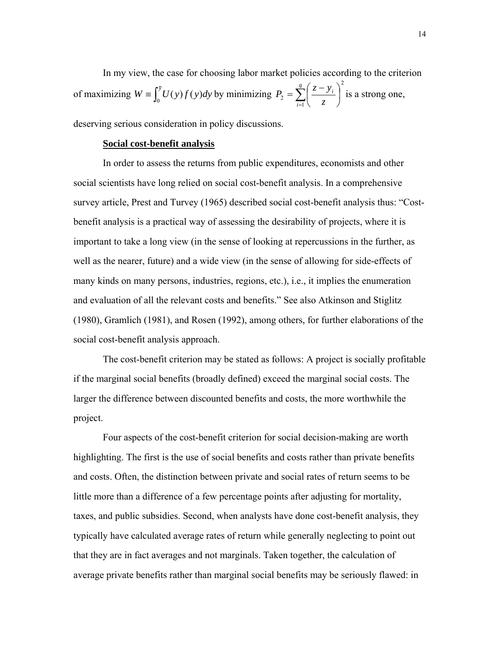In my view, the case for choosing labor market policies according to the criterion of maximizing  $W = \int_0^{\overline{y}} U(y) f(y) dy$  by minimizing 2  $P_2 = \sum_{i=1}^{n} \left( \frac{z-y_i}{z} \right)$ ⎠  $\left(\frac{z-y_i}{z}\right)$ ⎝  $=\sum_{n=1}^{q}\left(\frac{z-1}{n}\right)$ *i i z*  $P_2 = \sum_{i=1}^{q} \left( \frac{z - y_i}{z} \right)^2$  is a strong one,

deserving serious consideration in policy discussions.

# **Social cost-benefit analysis**

 In order to assess the returns from public expenditures, economists and other social scientists have long relied on social cost-benefit analysis. In a comprehensive survey article, Prest and Turvey (1965) described social cost-benefit analysis thus: "Costbenefit analysis is a practical way of assessing the desirability of projects, where it is important to take a long view (in the sense of looking at repercussions in the further, as well as the nearer, future) and a wide view (in the sense of allowing for side-effects of many kinds on many persons, industries, regions, etc.), i.e., it implies the enumeration and evaluation of all the relevant costs and benefits." See also Atkinson and Stiglitz (1980), Gramlich (1981), and Rosen (1992), among others, for further elaborations of the social cost-benefit analysis approach.

The cost-benefit criterion may be stated as follows: A project is socially profitable if the marginal social benefits (broadly defined) exceed the marginal social costs. The larger the difference between discounted benefits and costs, the more worthwhile the project.

Four aspects of the cost-benefit criterion for social decision-making are worth highlighting. The first is the use of social benefits and costs rather than private benefits and costs. Often, the distinction between private and social rates of return seems to be little more than a difference of a few percentage points after adjusting for mortality, taxes, and public subsidies. Second, when analysts have done cost-benefit analysis, they typically have calculated average rates of return while generally neglecting to point out that they are in fact averages and not marginals. Taken together, the calculation of average private benefits rather than marginal social benefits may be seriously flawed: in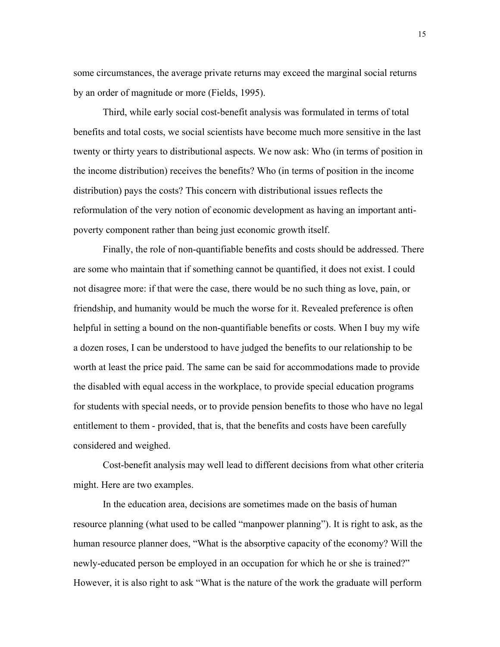some circumstances, the average private returns may exceed the marginal social returns by an order of magnitude or more (Fields, 1995).

Third, while early social cost-benefit analysis was formulated in terms of total benefits and total costs, we social scientists have become much more sensitive in the last twenty or thirty years to distributional aspects. We now ask: Who (in terms of position in the income distribution) receives the benefits? Who (in terms of position in the income distribution) pays the costs? This concern with distributional issues reflects the reformulation of the very notion of economic development as having an important antipoverty component rather than being just economic growth itself.

Finally, the role of non-quantifiable benefits and costs should be addressed. There are some who maintain that if something cannot be quantified, it does not exist. I could not disagree more: if that were the case, there would be no such thing as love, pain, or friendship, and humanity would be much the worse for it. Revealed preference is often helpful in setting a bound on the non-quantifiable benefits or costs. When I buy my wife a dozen roses, I can be understood to have judged the benefits to our relationship to be worth at least the price paid. The same can be said for accommodations made to provide the disabled with equal access in the workplace, to provide special education programs for students with special needs, or to provide pension benefits to those who have no legal entitlement to them - provided, that is, that the benefits and costs have been carefully considered and weighed.

Cost-benefit analysis may well lead to different decisions from what other criteria might. Here are two examples.

In the education area, decisions are sometimes made on the basis of human resource planning (what used to be called "manpower planning"). It is right to ask, as the human resource planner does, "What is the absorptive capacity of the economy? Will the newly-educated person be employed in an occupation for which he or she is trained?" However, it is also right to ask "What is the nature of the work the graduate will perform

15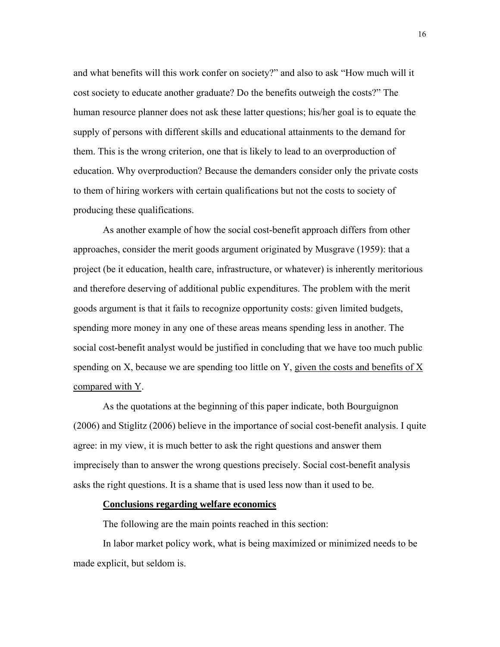and what benefits will this work confer on society?" and also to ask "How much will it cost society to educate another graduate? Do the benefits outweigh the costs?" The human resource planner does not ask these latter questions; his/her goal is to equate the supply of persons with different skills and educational attainments to the demand for them. This is the wrong criterion, one that is likely to lead to an overproduction of education. Why overproduction? Because the demanders consider only the private costs to them of hiring workers with certain qualifications but not the costs to society of producing these qualifications.

As another example of how the social cost-benefit approach differs from other approaches, consider the merit goods argument originated by Musgrave (1959): that a project (be it education, health care, infrastructure, or whatever) is inherently meritorious and therefore deserving of additional public expenditures. The problem with the merit goods argument is that it fails to recognize opportunity costs: given limited budgets, spending more money in any one of these areas means spending less in another. The social cost-benefit analyst would be justified in concluding that we have too much public spending on X, because we are spending too little on Y, given the costs and benefits of X compared with Y.

As the quotations at the beginning of this paper indicate, both Bourguignon (2006) and Stiglitz (2006) believe in the importance of social cost-benefit analysis. I quite agree: in my view, it is much better to ask the right questions and answer them imprecisely than to answer the wrong questions precisely. Social cost-benefit analysis asks the right questions. It is a shame that is used less now than it used to be.

## **Conclusions regarding welfare economics**

The following are the main points reached in this section:

In labor market policy work, what is being maximized or minimized needs to be made explicit, but seldom is.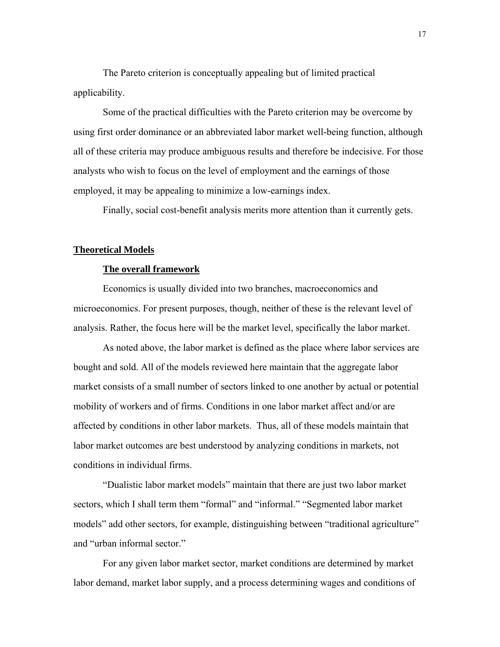The Pareto criterion is conceptually appealing but of limited practical applicability.

Some of the practical difficulties with the Pareto criterion may be overcome by using first order dominance or an abbreviated labor market well-being function, although all of these criteria may produce ambiguous results and therefore be indecisive. For those analysts who wish to focus on the level of employment and the earnings of those employed, it may be appealing to minimize a low-earnings index.

Finally, social cost-benefit analysis merits more attention than it currently gets.

#### **Theoretical Models**

## **The overall framework**

Economics is usually divided into two branches, macroeconomics and microeconomics. For present purposes, though, neither of these is the relevant level of analysis. Rather, the focus here will be the market level, specifically the labor market.

As noted above, the labor market is defined as the place where labor services are bought and sold. All of the models reviewed here maintain that the aggregate labor market consists of a small number of sectors linked to one another by actual or potential mobility of workers and of firms. Conditions in one labor market affect and/or are affected by conditions in other labor markets. Thus, all of these models maintain that labor market outcomes are best understood by analyzing conditions in markets, not conditions in individual firms.

"Dualistic labor market models" maintain that there are just two labor market sectors, which I shall term them "formal" and "informal." "Segmented labor market models" add other sectors, for example, distinguishing between "traditional agriculture" and "urban informal sector."

For any given labor market sector, market conditions are determined by market labor demand, market labor supply, and a process determining wages and conditions of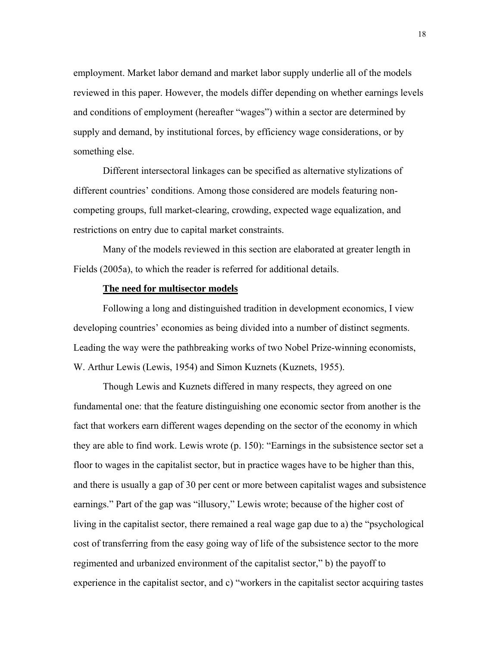employment. Market labor demand and market labor supply underlie all of the models reviewed in this paper. However, the models differ depending on whether earnings levels and conditions of employment (hereafter "wages") within a sector are determined by supply and demand, by institutional forces, by efficiency wage considerations, or by something else.

Different intersectoral linkages can be specified as alternative stylizations of different countries' conditions. Among those considered are models featuring noncompeting groups, full market-clearing, crowding, expected wage equalization, and restrictions on entry due to capital market constraints.

Many of the models reviewed in this section are elaborated at greater length in Fields (2005a), to which the reader is referred for additional details.

## **The need for multisector models**

Following a long and distinguished tradition in development economics, I view developing countries' economies as being divided into a number of distinct segments. Leading the way were the pathbreaking works of two Nobel Prize-winning economists, W. Arthur Lewis (Lewis, 1954) and Simon Kuznets (Kuznets, 1955).

Though Lewis and Kuznets differed in many respects, they agreed on one fundamental one: that the feature distinguishing one economic sector from another is the fact that workers earn different wages depending on the sector of the economy in which they are able to find work. Lewis wrote (p. 150): "Earnings in the subsistence sector set a floor to wages in the capitalist sector, but in practice wages have to be higher than this, and there is usually a gap of 30 per cent or more between capitalist wages and subsistence earnings." Part of the gap was "illusory," Lewis wrote; because of the higher cost of living in the capitalist sector, there remained a real wage gap due to a) the "psychological cost of transferring from the easy going way of life of the subsistence sector to the more regimented and urbanized environment of the capitalist sector," b) the payoff to experience in the capitalist sector, and c) "workers in the capitalist sector acquiring tastes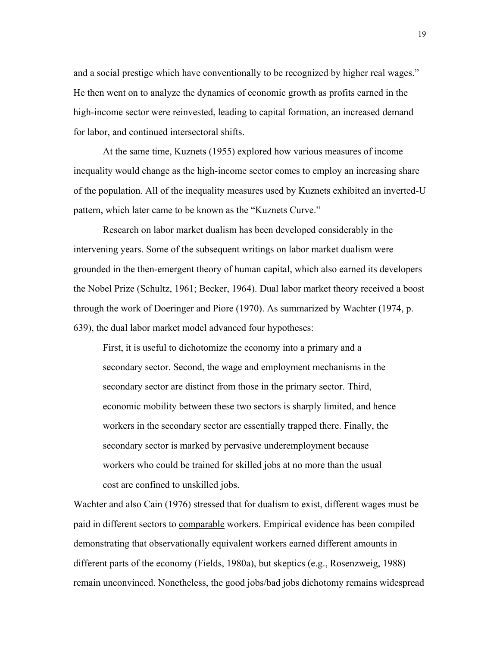and a social prestige which have conventionally to be recognized by higher real wages." He then went on to analyze the dynamics of economic growth as profits earned in the high-income sector were reinvested, leading to capital formation, an increased demand for labor, and continued intersectoral shifts.

At the same time, Kuznets (1955) explored how various measures of income inequality would change as the high-income sector comes to employ an increasing share of the population. All of the inequality measures used by Kuznets exhibited an inverted-U pattern, which later came to be known as the "Kuznets Curve."

Research on labor market dualism has been developed considerably in the intervening years. Some of the subsequent writings on labor market dualism were grounded in the then-emergent theory of human capital, which also earned its developers the Nobel Prize (Schultz, 1961; Becker, 1964). Dual labor market theory received a boost through the work of Doeringer and Piore (1970). As summarized by Wachter (1974, p. 639), the dual labor market model advanced four hypotheses:

First, it is useful to dichotomize the economy into a primary and a secondary sector. Second, the wage and employment mechanisms in the secondary sector are distinct from those in the primary sector. Third, economic mobility between these two sectors is sharply limited, and hence workers in the secondary sector are essentially trapped there. Finally, the secondary sector is marked by pervasive underemployment because workers who could be trained for skilled jobs at no more than the usual cost are confined to unskilled jobs.

Wachter and also Cain (1976) stressed that for dualism to exist, different wages must be paid in different sectors to comparable workers. Empirical evidence has been compiled demonstrating that observationally equivalent workers earned different amounts in different parts of the economy (Fields, 1980a), but skeptics (e.g., Rosenzweig, 1988) remain unconvinced. Nonetheless, the good jobs/bad jobs dichotomy remains widespread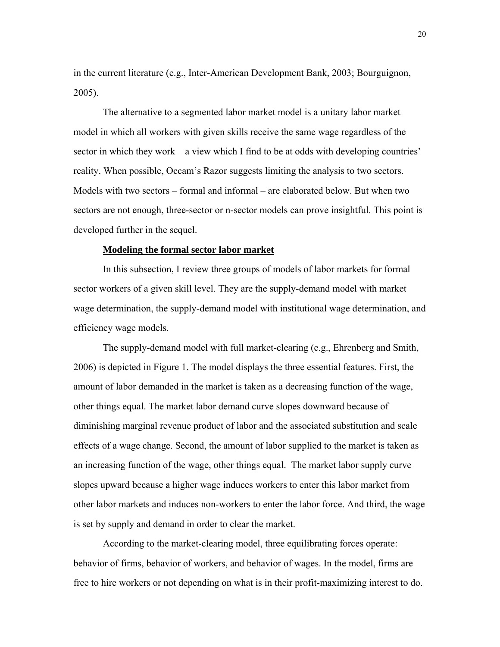in the current literature (e.g., Inter-American Development Bank, 2003; Bourguignon, 2005).

The alternative to a segmented labor market model is a unitary labor market model in which all workers with given skills receive the same wage regardless of the sector in which they work – a view which I find to be at odds with developing countries' reality. When possible, Occam's Razor suggests limiting the analysis to two sectors. Models with two sectors – formal and informal – are elaborated below. But when two sectors are not enough, three-sector or n-sector models can prove insightful. This point is developed further in the sequel.

#### **Modeling the formal sector labor market**

In this subsection, I review three groups of models of labor markets for formal sector workers of a given skill level. They are the supply-demand model with market wage determination, the supply-demand model with institutional wage determination, and efficiency wage models.

The supply-demand model with full market-clearing (e.g., Ehrenberg and Smith, 2006) is depicted in Figure 1. The model displays the three essential features. First, the amount of labor demanded in the market is taken as a decreasing function of the wage, other things equal. The market labor demand curve slopes downward because of diminishing marginal revenue product of labor and the associated substitution and scale effects of a wage change. Second, the amount of labor supplied to the market is taken as an increasing function of the wage, other things equal. The market labor supply curve slopes upward because a higher wage induces workers to enter this labor market from other labor markets and induces non-workers to enter the labor force. And third, the wage is set by supply and demand in order to clear the market.

 According to the market-clearing model, three equilibrating forces operate: behavior of firms, behavior of workers, and behavior of wages. In the model, firms are free to hire workers or not depending on what is in their profit-maximizing interest to do.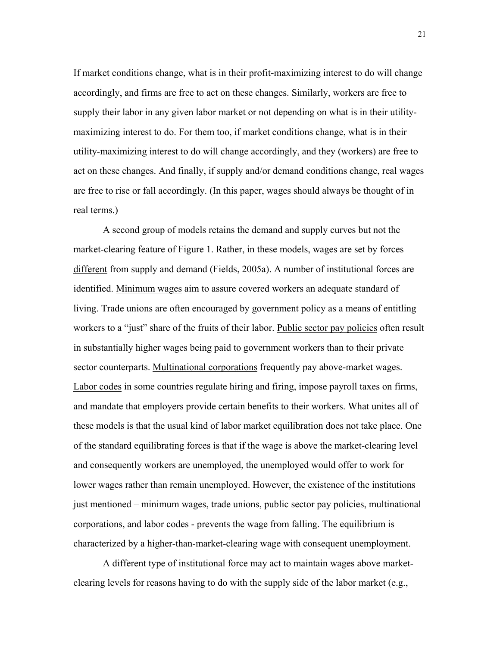If market conditions change, what is in their profit-maximizing interest to do will change accordingly, and firms are free to act on these changes. Similarly, workers are free to supply their labor in any given labor market or not depending on what is in their utilitymaximizing interest to do. For them too, if market conditions change, what is in their utility-maximizing interest to do will change accordingly, and they (workers) are free to act on these changes. And finally, if supply and/or demand conditions change, real wages are free to rise or fall accordingly. (In this paper, wages should always be thought of in real terms.)

 A second group of models retains the demand and supply curves but not the market-clearing feature of Figure 1. Rather, in these models, wages are set by forces different from supply and demand (Fields, 2005a). A number of institutional forces are identified. Minimum wages aim to assure covered workers an adequate standard of living. Trade unions are often encouraged by government policy as a means of entitling workers to a "just" share of the fruits of their labor. Public sector pay policies often result in substantially higher wages being paid to government workers than to their private sector counterparts. Multinational corporations frequently pay above-market wages. Labor codes in some countries regulate hiring and firing, impose payroll taxes on firms, and mandate that employers provide certain benefits to their workers. What unites all of these models is that the usual kind of labor market equilibration does not take place. One of the standard equilibrating forces is that if the wage is above the market-clearing level and consequently workers are unemployed, the unemployed would offer to work for lower wages rather than remain unemployed. However, the existence of the institutions just mentioned – minimum wages, trade unions, public sector pay policies, multinational corporations, and labor codes - prevents the wage from falling. The equilibrium is characterized by a higher-than-market-clearing wage with consequent unemployment.

A different type of institutional force may act to maintain wages above marketclearing levels for reasons having to do with the supply side of the labor market  $(e.g.,)$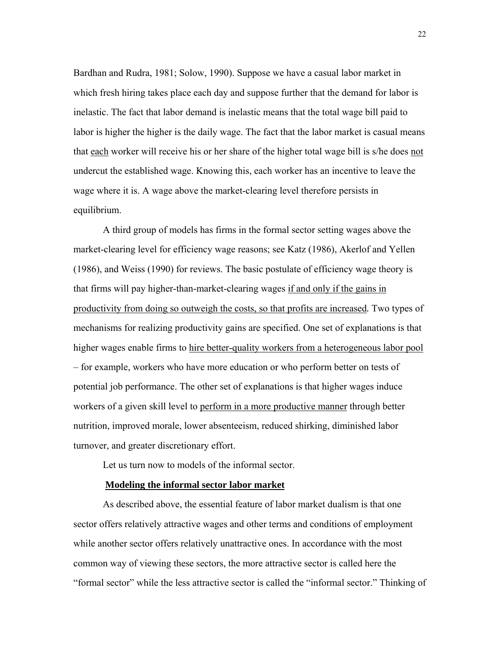Bardhan and Rudra, 1981; Solow, 1990). Suppose we have a casual labor market in which fresh hiring takes place each day and suppose further that the demand for labor is inelastic. The fact that labor demand is inelastic means that the total wage bill paid to labor is higher the higher is the daily wage. The fact that the labor market is casual means that each worker will receive his or her share of the higher total wage bill is s/he does not undercut the established wage. Knowing this, each worker has an incentive to leave the wage where it is. A wage above the market-clearing level therefore persists in equilibrium.

A third group of models has firms in the formal sector setting wages above the market-clearing level for efficiency wage reasons; see Katz (1986), Akerlof and Yellen (1986), and Weiss (1990) for reviews. The basic postulate of efficiency wage theory is that firms will pay higher-than-market-clearing wages if and only if the gains in productivity from doing so outweigh the costs, so that profits are increased*.* Two types of mechanisms for realizing productivity gains are specified. One set of explanations is that higher wages enable firms to hire better-quality workers from a heterogeneous labor pool – for example, workers who have more education or who perform better on tests of potential job performance. The other set of explanations is that higher wages induce workers of a given skill level to perform in a more productive manner through better nutrition, improved morale, lower absenteeism, reduced shirking, diminished labor turnover, and greater discretionary effort.

Let us turn now to models of the informal sector.

## **Modeling the informal sector labor market**

As described above, the essential feature of labor market dualism is that one sector offers relatively attractive wages and other terms and conditions of employment while another sector offers relatively unattractive ones. In accordance with the most common way of viewing these sectors, the more attractive sector is called here the "formal sector" while the less attractive sector is called the "informal sector." Thinking of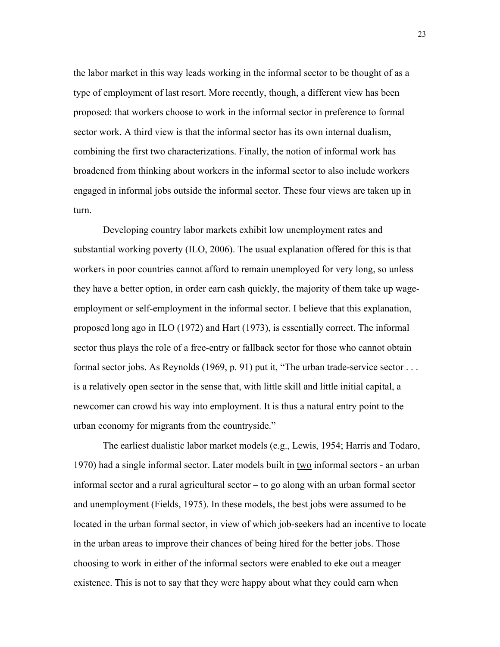the labor market in this way leads working in the informal sector to be thought of as a type of employment of last resort. More recently, though, a different view has been proposed: that workers choose to work in the informal sector in preference to formal sector work. A third view is that the informal sector has its own internal dualism, combining the first two characterizations. Finally, the notion of informal work has broadened from thinking about workers in the informal sector to also include workers engaged in informal jobs outside the informal sector. These four views are taken up in turn.

Developing country labor markets exhibit low unemployment rates and substantial working poverty (ILO, 2006). The usual explanation offered for this is that workers in poor countries cannot afford to remain unemployed for very long, so unless they have a better option, in order earn cash quickly, the majority of them take up wageemployment or self-employment in the informal sector. I believe that this explanation, proposed long ago in ILO (1972) and Hart (1973), is essentially correct. The informal sector thus plays the role of a free-entry or fallback sector for those who cannot obtain formal sector jobs. As Reynolds (1969, p. 91) put it, "The urban trade-service sector . . . is a relatively open sector in the sense that, with little skill and little initial capital, a newcomer can crowd his way into employment. It is thus a natural entry point to the urban economy for migrants from the countryside."

The earliest dualistic labor market models (e.g., Lewis, 1954; Harris and Todaro, 1970) had a single informal sector. Later models built in two informal sectors - an urban informal sector and a rural agricultural sector – to go along with an urban formal sector and unemployment (Fields, 1975). In these models, the best jobs were assumed to be located in the urban formal sector, in view of which job-seekers had an incentive to locate in the urban areas to improve their chances of being hired for the better jobs. Those choosing to work in either of the informal sectors were enabled to eke out a meager existence. This is not to say that they were happy about what they could earn when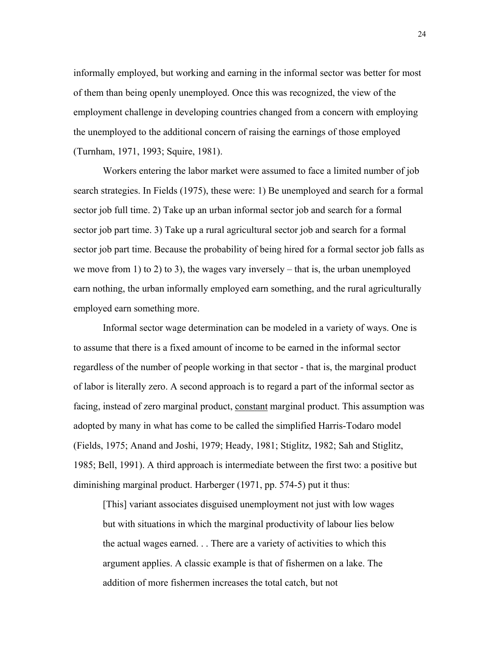informally employed, but working and earning in the informal sector was better for most of them than being openly unemployed. Once this was recognized, the view of the employment challenge in developing countries changed from a concern with employing the unemployed to the additional concern of raising the earnings of those employed (Turnham, 1971, 1993; Squire, 1981).

Workers entering the labor market were assumed to face a limited number of job search strategies. In Fields (1975), these were: 1) Be unemployed and search for a formal sector job full time. 2) Take up an urban informal sector job and search for a formal sector job part time. 3) Take up a rural agricultural sector job and search for a formal sector job part time. Because the probability of being hired for a formal sector job falls as we move from 1) to 2) to 3), the wages vary inversely – that is, the urban unemployed earn nothing, the urban informally employed earn something, and the rural agriculturally employed earn something more.

Informal sector wage determination can be modeled in a variety of ways. One is to assume that there is a fixed amount of income to be earned in the informal sector regardless of the number of people working in that sector - that is, the marginal product of labor is literally zero. A second approach is to regard a part of the informal sector as facing, instead of zero marginal product, constant marginal product. This assumption was adopted by many in what has come to be called the simplified Harris-Todaro model (Fields, 1975; Anand and Joshi, 1979; Heady, 1981; Stiglitz, 1982; Sah and Stiglitz, 1985; Bell, 1991). A third approach is intermediate between the first two: a positive but diminishing marginal product. Harberger (1971, pp. 574-5) put it thus:

[This] variant associates disguised unemployment not just with low wages but with situations in which the marginal productivity of labour lies below the actual wages earned. . . There are a variety of activities to which this argument applies. A classic example is that of fishermen on a lake. The addition of more fishermen increases the total catch, but not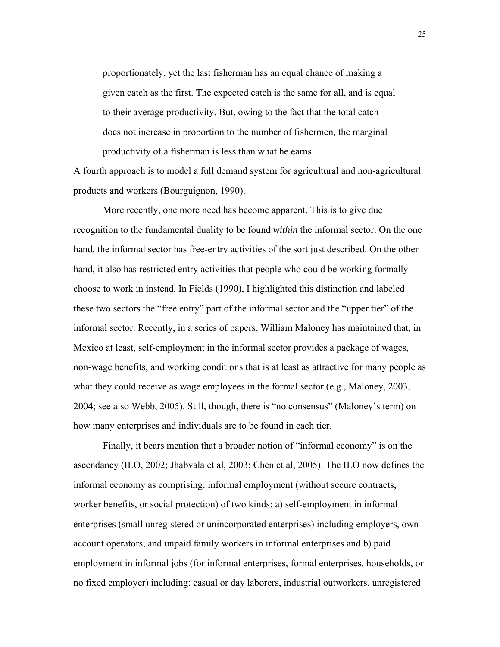proportionately, yet the last fisherman has an equal chance of making a given catch as the first. The expected catch is the same for all, and is equal to their average productivity. But, owing to the fact that the total catch does not increase in proportion to the number of fishermen, the marginal productivity of a fisherman is less than what he earns.

A fourth approach is to model a full demand system for agricultural and non-agricultural products and workers (Bourguignon, 1990).

More recently, one more need has become apparent. This is to give due recognition to the fundamental duality to be found *within* the informal sector. On the one hand, the informal sector has free-entry activities of the sort just described. On the other hand, it also has restricted entry activities that people who could be working formally choose to work in instead. In Fields (1990), I highlighted this distinction and labeled these two sectors the "free entry" part of the informal sector and the "upper tier" of the informal sector. Recently, in a series of papers, William Maloney has maintained that, in Mexico at least, self-employment in the informal sector provides a package of wages, non-wage benefits, and working conditions that is at least as attractive for many people as what they could receive as wage employees in the formal sector (e.g., Maloney, 2003, 2004; see also Webb, 2005). Still, though, there is "no consensus" (Maloney's term) on how many enterprises and individuals are to be found in each tier.

Finally, it bears mention that a broader notion of "informal economy" is on the ascendancy (ILO, 2002; Jhabvala et al, 2003; Chen et al, 2005). The ILO now defines the informal economy as comprising: informal employment (without secure contracts, worker benefits, or social protection) of two kinds: a) self-employment in informal enterprises (small unregistered or unincorporated enterprises) including employers, ownaccount operators, and unpaid family workers in informal enterprises and b) paid employment in informal jobs (for informal enterprises, formal enterprises, households, or no fixed employer) including: casual or day laborers, industrial outworkers, unregistered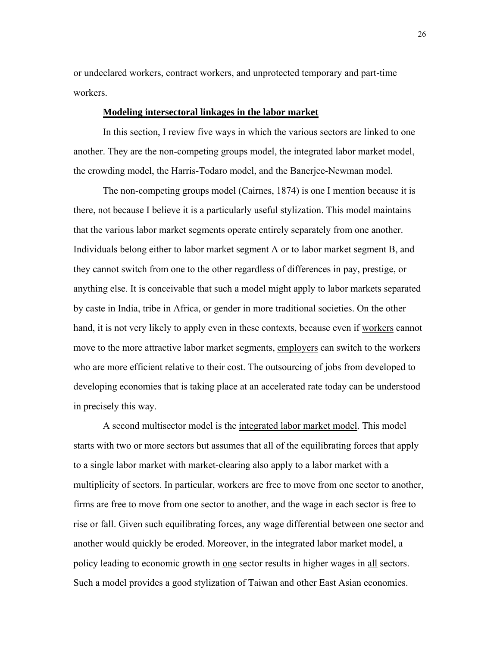or undeclared workers, contract workers, and unprotected temporary and part-time workers.

## **Modeling intersectoral linkages in the labor market**

 In this section, I review five ways in which the various sectors are linked to one another. They are the non-competing groups model, the integrated labor market model, the crowding model, the Harris-Todaro model, and the Banerjee-Newman model.

 The non-competing groups model (Cairnes, 1874) is one I mention because it is there, not because I believe it is a particularly useful stylization. This model maintains that the various labor market segments operate entirely separately from one another. Individuals belong either to labor market segment A or to labor market segment B, and they cannot switch from one to the other regardless of differences in pay, prestige, or anything else. It is conceivable that such a model might apply to labor markets separated by caste in India, tribe in Africa, or gender in more traditional societies. On the other hand, it is not very likely to apply even in these contexts, because even if workers cannot move to the more attractive labor market segments, employers can switch to the workers who are more efficient relative to their cost. The outsourcing of jobs from developed to developing economies that is taking place at an accelerated rate today can be understood in precisely this way.

 A second multisector model is the integrated labor market model. This model starts with two or more sectors but assumes that all of the equilibrating forces that apply to a single labor market with market-clearing also apply to a labor market with a multiplicity of sectors. In particular, workers are free to move from one sector to another, firms are free to move from one sector to another, and the wage in each sector is free to rise or fall. Given such equilibrating forces, any wage differential between one sector and another would quickly be eroded. Moreover, in the integrated labor market model, a policy leading to economic growth in one sector results in higher wages in all sectors. Such a model provides a good stylization of Taiwan and other East Asian economies.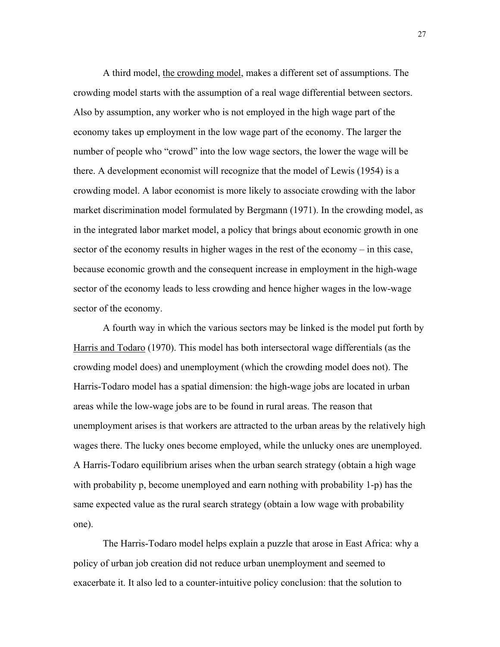A third model, the crowding model, makes a different set of assumptions. The crowding model starts with the assumption of a real wage differential between sectors. Also by assumption, any worker who is not employed in the high wage part of the economy takes up employment in the low wage part of the economy. The larger the number of people who "crowd" into the low wage sectors, the lower the wage will be there. A development economist will recognize that the model of Lewis (1954) is a crowding model. A labor economist is more likely to associate crowding with the labor market discrimination model formulated by Bergmann (1971). In the crowding model, as in the integrated labor market model, a policy that brings about economic growth in one sector of the economy results in higher wages in the rest of the economy – in this case, because economic growth and the consequent increase in employment in the high-wage sector of the economy leads to less crowding and hence higher wages in the low-wage sector of the economy.

 A fourth way in which the various sectors may be linked is the model put forth by Harris and Todaro (1970). This model has both intersectoral wage differentials (as the crowding model does) and unemployment (which the crowding model does not). The Harris-Todaro model has a spatial dimension: the high-wage jobs are located in urban areas while the low-wage jobs are to be found in rural areas. The reason that unemployment arises is that workers are attracted to the urban areas by the relatively high wages there. The lucky ones become employed, while the unlucky ones are unemployed. A Harris-Todaro equilibrium arises when the urban search strategy (obtain a high wage with probability p, become unemployed and earn nothing with probability 1-p) has the same expected value as the rural search strategy (obtain a low wage with probability one).

 The Harris-Todaro model helps explain a puzzle that arose in East Africa: why a policy of urban job creation did not reduce urban unemployment and seemed to exacerbate it. It also led to a counter-intuitive policy conclusion: that the solution to

27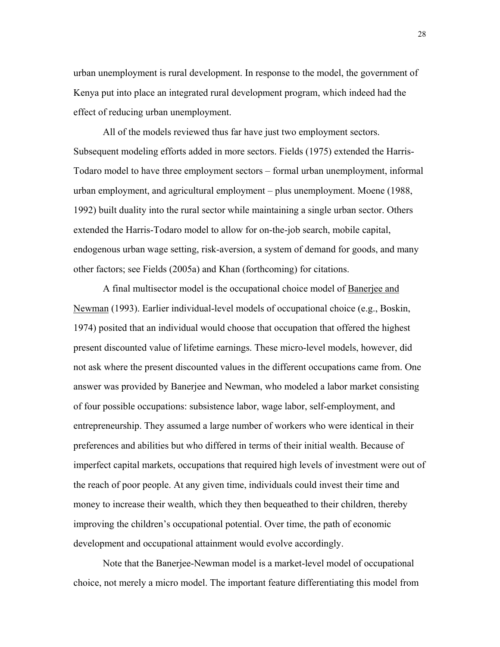urban unemployment is rural development. In response to the model, the government of Kenya put into place an integrated rural development program, which indeed had the effect of reducing urban unemployment.

 All of the models reviewed thus far have just two employment sectors. Subsequent modeling efforts added in more sectors. Fields (1975) extended the Harris-Todaro model to have three employment sectors – formal urban unemployment, informal urban employment, and agricultural employment – plus unemployment. Moene (1988, 1992) built duality into the rural sector while maintaining a single urban sector. Others extended the Harris-Todaro model to allow for on-the-job search, mobile capital, endogenous urban wage setting, risk-aversion, a system of demand for goods, and many other factors; see Fields (2005a) and Khan (forthcoming) for citations.

A final multisector model is the occupational choice model of Banerjee and Newman (1993). Earlier individual-level models of occupational choice (e.g., Boskin, 1974) posited that an individual would choose that occupation that offered the highest present discounted value of lifetime earnings. These micro-level models, however, did not ask where the present discounted values in the different occupations came from. One answer was provided by Banerjee and Newman, who modeled a labor market consisting of four possible occupations: subsistence labor, wage labor, self-employment, and entrepreneurship. They assumed a large number of workers who were identical in their preferences and abilities but who differed in terms of their initial wealth. Because of imperfect capital markets, occupations that required high levels of investment were out of the reach of poor people. At any given time, individuals could invest their time and money to increase their wealth, which they then bequeathed to their children, thereby improving the children's occupational potential. Over time, the path of economic development and occupational attainment would evolve accordingly.

Note that the Banerjee-Newman model is a market-level model of occupational choice, not merely a micro model. The important feature differentiating this model from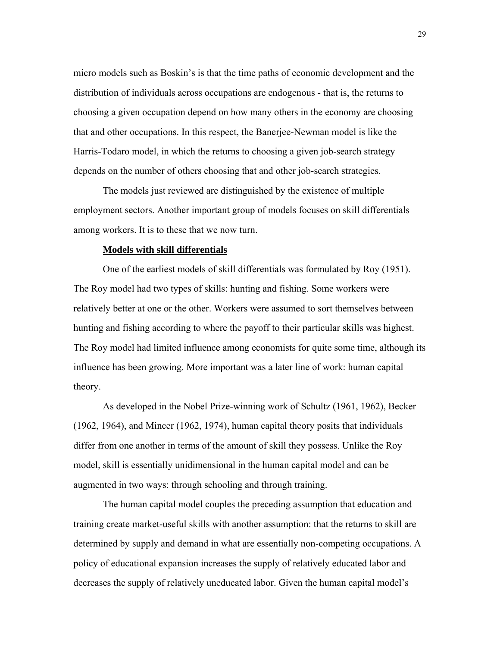micro models such as Boskin's is that the time paths of economic development and the distribution of individuals across occupations are endogenous - that is, the returns to choosing a given occupation depend on how many others in the economy are choosing that and other occupations. In this respect, the Banerjee-Newman model is like the Harris-Todaro model, in which the returns to choosing a given job-search strategy depends on the number of others choosing that and other job-search strategies.

 The models just reviewed are distinguished by the existence of multiple employment sectors. Another important group of models focuses on skill differentials among workers. It is to these that we now turn.

#### **Models with skill differentials**

One of the earliest models of skill differentials was formulated by Roy (1951). The Roy model had two types of skills: hunting and fishing. Some workers were relatively better at one or the other. Workers were assumed to sort themselves between hunting and fishing according to where the payoff to their particular skills was highest. The Roy model had limited influence among economists for quite some time, although its influence has been growing. More important was a later line of work: human capital theory.

As developed in the Nobel Prize-winning work of Schultz (1961, 1962), Becker (1962, 1964), and Mincer (1962, 1974), human capital theory posits that individuals differ from one another in terms of the amount of skill they possess. Unlike the Roy model, skill is essentially unidimensional in the human capital model and can be augmented in two ways: through schooling and through training.

The human capital model couples the preceding assumption that education and training create market-useful skills with another assumption: that the returns to skill are determined by supply and demand in what are essentially non-competing occupations. A policy of educational expansion increases the supply of relatively educated labor and decreases the supply of relatively uneducated labor. Given the human capital model's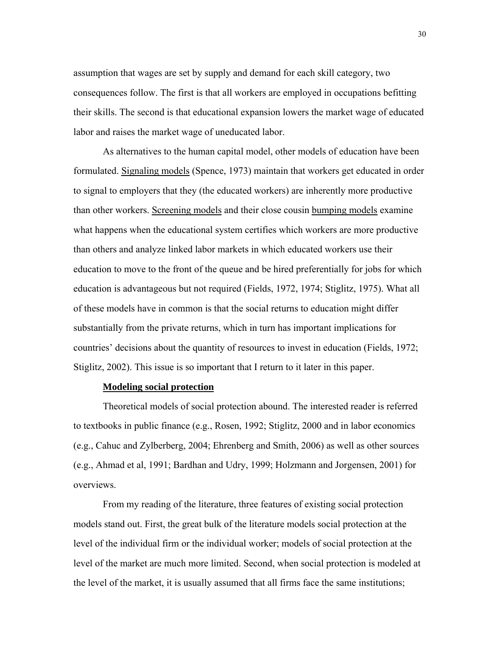assumption that wages are set by supply and demand for each skill category, two consequences follow. The first is that all workers are employed in occupations befitting their skills. The second is that educational expansion lowers the market wage of educated labor and raises the market wage of uneducated labor.

As alternatives to the human capital model, other models of education have been formulated. Signaling models (Spence, 1973) maintain that workers get educated in order to signal to employers that they (the educated workers) are inherently more productive than other workers. Screening models and their close cousin bumping models examine what happens when the educational system certifies which workers are more productive than others and analyze linked labor markets in which educated workers use their education to move to the front of the queue and be hired preferentially for jobs for which education is advantageous but not required (Fields, 1972, 1974; Stiglitz, 1975). What all of these models have in common is that the social returns to education might differ substantially from the private returns, which in turn has important implications for countries' decisions about the quantity of resources to invest in education (Fields, 1972; Stiglitz, 2002). This issue is so important that I return to it later in this paper.

## **Modeling social protection**

Theoretical models of social protection abound. The interested reader is referred to textbooks in public finance (e.g., Rosen, 1992; Stiglitz, 2000 and in labor economics (e.g., Cahuc and Zylberberg, 2004; Ehrenberg and Smith, 2006) as well as other sources (e.g., Ahmad et al, 1991; Bardhan and Udry, 1999; Holzmann and Jorgensen, 2001) for overviews.

From my reading of the literature, three features of existing social protection models stand out. First, the great bulk of the literature models social protection at the level of the individual firm or the individual worker; models of social protection at the level of the market are much more limited. Second, when social protection is modeled at the level of the market, it is usually assumed that all firms face the same institutions;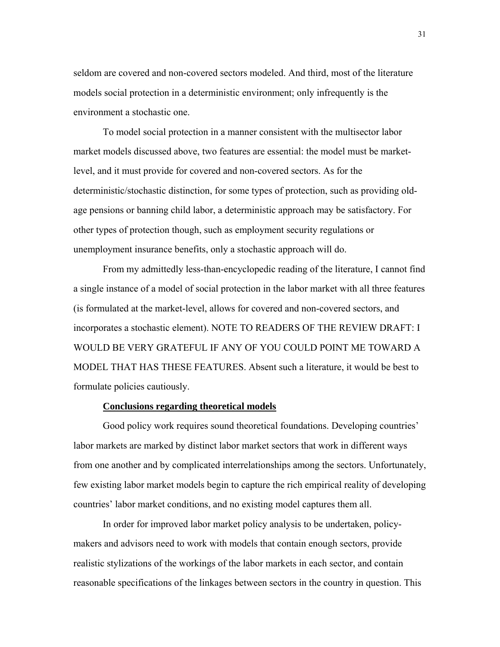seldom are covered and non-covered sectors modeled. And third, most of the literature models social protection in a deterministic environment; only infrequently is the environment a stochastic one.

To model social protection in a manner consistent with the multisector labor market models discussed above, two features are essential: the model must be marketlevel, and it must provide for covered and non-covered sectors. As for the deterministic/stochastic distinction, for some types of protection, such as providing oldage pensions or banning child labor, a deterministic approach may be satisfactory. For other types of protection though, such as employment security regulations or unemployment insurance benefits, only a stochastic approach will do.

From my admittedly less-than-encyclopedic reading of the literature, I cannot find a single instance of a model of social protection in the labor market with all three features (is formulated at the market-level, allows for covered and non-covered sectors, and incorporates a stochastic element). NOTE TO READERS OF THE REVIEW DRAFT: I WOULD BE VERY GRATEFUL IF ANY OF YOU COULD POINT ME TOWARD A MODEL THAT HAS THESE FEATURES. Absent such a literature, it would be best to formulate policies cautiously.

## **Conclusions regarding theoretical models**

Good policy work requires sound theoretical foundations. Developing countries' labor markets are marked by distinct labor market sectors that work in different ways from one another and by complicated interrelationships among the sectors. Unfortunately, few existing labor market models begin to capture the rich empirical reality of developing countries' labor market conditions, and no existing model captures them all.

In order for improved labor market policy analysis to be undertaken, policymakers and advisors need to work with models that contain enough sectors, provide realistic stylizations of the workings of the labor markets in each sector, and contain reasonable specifications of the linkages between sectors in the country in question. This

31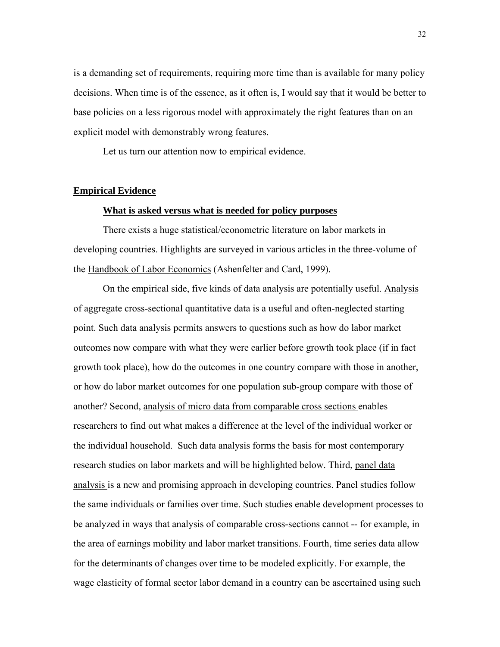is a demanding set of requirements, requiring more time than is available for many policy decisions. When time is of the essence, as it often is, I would say that it would be better to base policies on a less rigorous model with approximately the right features than on an explicit model with demonstrably wrong features.

Let us turn our attention now to empirical evidence.

### **Empirical Evidence**

## **What is asked versus what is needed for policy purposes**

There exists a huge statistical/econometric literature on labor markets in developing countries. Highlights are surveyed in various articles in the three-volume of the Handbook of Labor Economics (Ashenfelter and Card, 1999).

On the empirical side, five kinds of data analysis are potentially useful. Analysis of aggregate cross-sectional quantitative data is a useful and often-neglected starting point. Such data analysis permits answers to questions such as how do labor market outcomes now compare with what they were earlier before growth took place (if in fact growth took place), how do the outcomes in one country compare with those in another, or how do labor market outcomes for one population sub-group compare with those of another? Second, analysis of micro data from comparable cross sections enables researchers to find out what makes a difference at the level of the individual worker or the individual household. Such data analysis forms the basis for most contemporary research studies on labor markets and will be highlighted below. Third, panel data analysis is a new and promising approach in developing countries. Panel studies follow the same individuals or families over time. Such studies enable development processes to be analyzed in ways that analysis of comparable cross-sections cannot -- for example, in the area of earnings mobility and labor market transitions. Fourth, time series data allow for the determinants of changes over time to be modeled explicitly. For example, the wage elasticity of formal sector labor demand in a country can be ascertained using such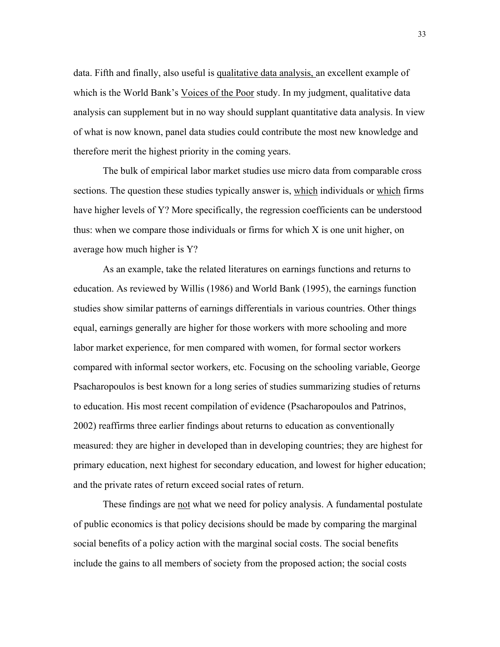data. Fifth and finally, also useful is qualitative data analysis, an excellent example of which is the World Bank's Voices of the Poor study. In my judgment, qualitative data analysis can supplement but in no way should supplant quantitative data analysis. In view of what is now known, panel data studies could contribute the most new knowledge and therefore merit the highest priority in the coming years.

The bulk of empirical labor market studies use micro data from comparable cross sections. The question these studies typically answer is, which individuals or which firms have higher levels of Y? More specifically, the regression coefficients can be understood thus: when we compare those individuals or firms for which X is one unit higher, on average how much higher is Y?

As an example, take the related literatures on earnings functions and returns to education. As reviewed by Willis (1986) and World Bank (1995), the earnings function studies show similar patterns of earnings differentials in various countries. Other things equal, earnings generally are higher for those workers with more schooling and more labor market experience, for men compared with women, for formal sector workers compared with informal sector workers, etc. Focusing on the schooling variable, George Psacharopoulos is best known for a long series of studies summarizing studies of returns to education. His most recent compilation of evidence (Psacharopoulos and Patrinos, 2002) reaffirms three earlier findings about returns to education as conventionally measured: they are higher in developed than in developing countries; they are highest for primary education, next highest for secondary education, and lowest for higher education; and the private rates of return exceed social rates of return.

 These findings are not what we need for policy analysis. A fundamental postulate of public economics is that policy decisions should be made by comparing the marginal social benefits of a policy action with the marginal social costs. The social benefits include the gains to all members of society from the proposed action; the social costs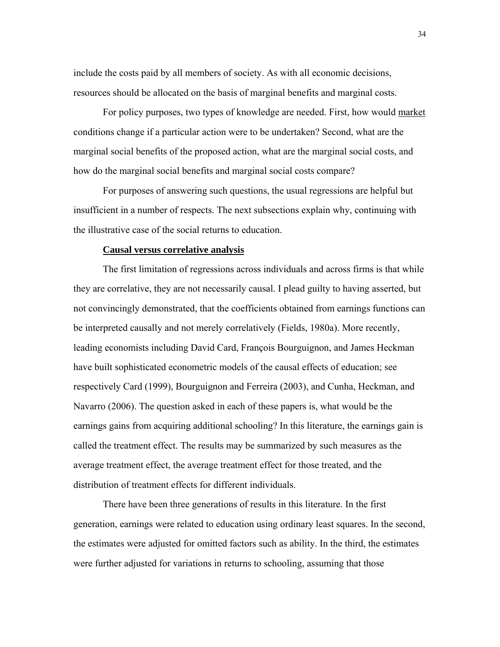include the costs paid by all members of society. As with all economic decisions, resources should be allocated on the basis of marginal benefits and marginal costs.

 For policy purposes, two types of knowledge are needed. First, how would market conditions change if a particular action were to be undertaken? Second, what are the marginal social benefits of the proposed action, what are the marginal social costs, and how do the marginal social benefits and marginal social costs compare?

For purposes of answering such questions, the usual regressions are helpful but insufficient in a number of respects. The next subsections explain why, continuing with the illustrative case of the social returns to education.

## **Causal versus correlative analysis**

The first limitation of regressions across individuals and across firms is that while they are correlative, they are not necessarily causal. I plead guilty to having asserted, but not convincingly demonstrated, that the coefficients obtained from earnings functions can be interpreted causally and not merely correlatively (Fields, 1980a). More recently, leading economists including David Card, François Bourguignon, and James Heckman have built sophisticated econometric models of the causal effects of education; see respectively Card (1999), Bourguignon and Ferreira (2003), and Cunha, Heckman, and Navarro (2006). The question asked in each of these papers is, what would be the earnings gains from acquiring additional schooling? In this literature, the earnings gain is called the treatment effect. The results may be summarized by such measures as the average treatment effect, the average treatment effect for those treated, and the distribution of treatment effects for different individuals.

 There have been three generations of results in this literature. In the first generation, earnings were related to education using ordinary least squares. In the second, the estimates were adjusted for omitted factors such as ability. In the third, the estimates were further adjusted for variations in returns to schooling, assuming that those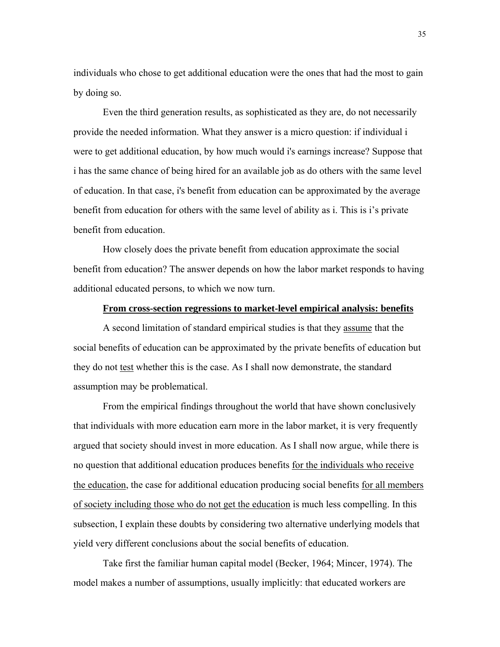individuals who chose to get additional education were the ones that had the most to gain by doing so.

 Even the third generation results, as sophisticated as they are, do not necessarily provide the needed information. What they answer is a micro question: if individual i were to get additional education, by how much would i's earnings increase? Suppose that i has the same chance of being hired for an available job as do others with the same level of education. In that case, i's benefit from education can be approximated by the average benefit from education for others with the same level of ability as i. This is i's private benefit from education.

How closely does the private benefit from education approximate the social benefit from education? The answer depends on how the labor market responds to having additional educated persons, to which we now turn.

### **From cross-section regressions to market-level empirical analysis: benefits**

A second limitation of standard empirical studies is that they assume that the social benefits of education can be approximated by the private benefits of education but they do not test whether this is the case. As I shall now demonstrate, the standard assumption may be problematical.

From the empirical findings throughout the world that have shown conclusively that individuals with more education earn more in the labor market, it is very frequently argued that society should invest in more education. As I shall now argue, while there is no question that additional education produces benefits for the individuals who receive the education, the case for additional education producing social benefits for all members of society including those who do not get the education is much less compelling. In this subsection, I explain these doubts by considering two alternative underlying models that yield very different conclusions about the social benefits of education.

Take first the familiar human capital model (Becker, 1964; Mincer, 1974). The model makes a number of assumptions, usually implicitly: that educated workers are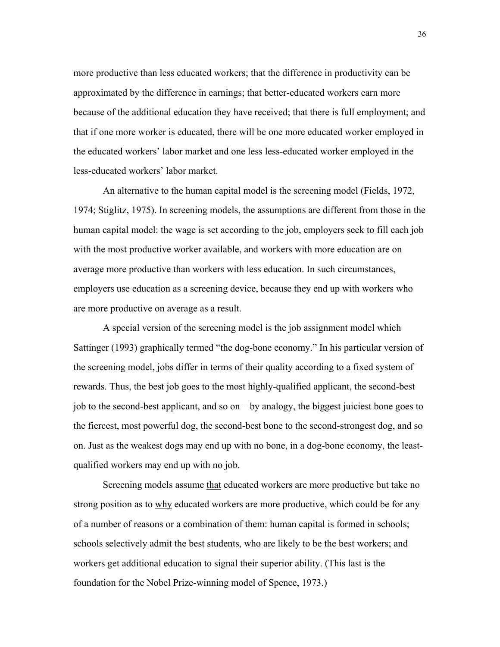more productive than less educated workers; that the difference in productivity can be approximated by the difference in earnings; that better-educated workers earn more because of the additional education they have received; that there is full employment; and that if one more worker is educated, there will be one more educated worker employed in the educated workers' labor market and one less less-educated worker employed in the less-educated workers' labor market.

An alternative to the human capital model is the screening model (Fields, 1972, 1974; Stiglitz, 1975). In screening models, the assumptions are different from those in the human capital model: the wage is set according to the job, employers seek to fill each job with the most productive worker available, and workers with more education are on average more productive than workers with less education. In such circumstances, employers use education as a screening device, because they end up with workers who are more productive on average as a result.

A special version of the screening model is the job assignment model which Sattinger (1993) graphically termed "the dog-bone economy." In his particular version of the screening model, jobs differ in terms of their quality according to a fixed system of rewards. Thus, the best job goes to the most highly-qualified applicant, the second-best job to the second-best applicant, and so on – by analogy, the biggest juiciest bone goes to the fiercest, most powerful dog, the second-best bone to the second-strongest dog, and so on. Just as the weakest dogs may end up with no bone, in a dog-bone economy, the leastqualified workers may end up with no job.

Screening models assume that educated workers are more productive but take no strong position as to why educated workers are more productive, which could be for any of a number of reasons or a combination of them: human capital is formed in schools; schools selectively admit the best students, who are likely to be the best workers; and workers get additional education to signal their superior ability. (This last is the foundation for the Nobel Prize-winning model of Spence, 1973.)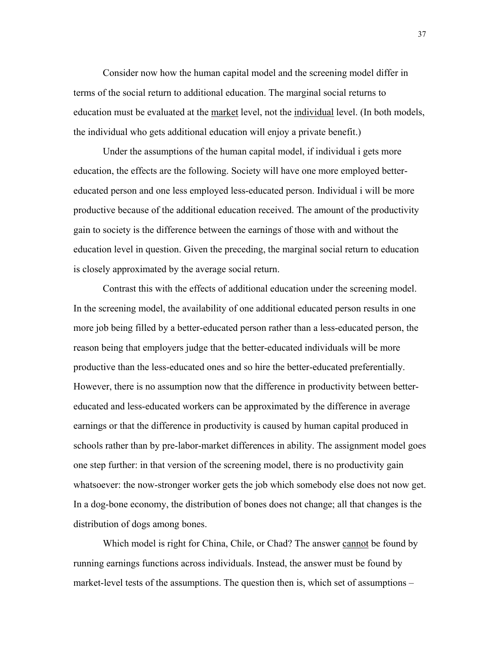Consider now how the human capital model and the screening model differ in terms of the social return to additional education. The marginal social returns to education must be evaluated at the market level, not the individual level. (In both models, the individual who gets additional education will enjoy a private benefit.)

Under the assumptions of the human capital model, if individual i gets more education, the effects are the following. Society will have one more employed bettereducated person and one less employed less-educated person. Individual i will be more productive because of the additional education received. The amount of the productivity gain to society is the difference between the earnings of those with and without the education level in question. Given the preceding, the marginal social return to education is closely approximated by the average social return.

Contrast this with the effects of additional education under the screening model. In the screening model, the availability of one additional educated person results in one more job being filled by a better-educated person rather than a less-educated person, the reason being that employers judge that the better-educated individuals will be more productive than the less-educated ones and so hire the better-educated preferentially. However, there is no assumption now that the difference in productivity between bettereducated and less-educated workers can be approximated by the difference in average earnings or that the difference in productivity is caused by human capital produced in schools rather than by pre-labor-market differences in ability. The assignment model goes one step further: in that version of the screening model, there is no productivity gain whatsoever: the now-stronger worker gets the job which somebody else does not now get. In a dog-bone economy, the distribution of bones does not change; all that changes is the distribution of dogs among bones.

Which model is right for China, Chile, or Chad? The answer cannot be found by running earnings functions across individuals. Instead, the answer must be found by market-level tests of the assumptions. The question then is, which set of assumptions –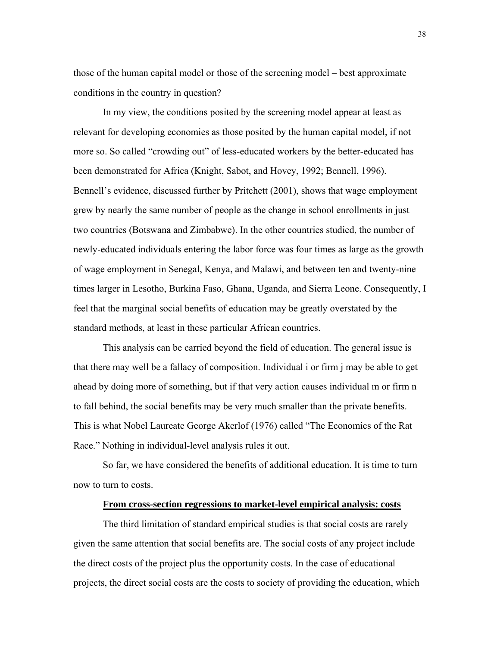those of the human capital model or those of the screening model – best approximate conditions in the country in question?

In my view, the conditions posited by the screening model appear at least as relevant for developing economies as those posited by the human capital model, if not more so. So called "crowding out" of less-educated workers by the better-educated has been demonstrated for Africa (Knight, Sabot, and Hovey, 1992; Bennell, 1996). Bennell's evidence, discussed further by Pritchett (2001), shows that wage employment grew by nearly the same number of people as the change in school enrollments in just two countries (Botswana and Zimbabwe). In the other countries studied, the number of newly-educated individuals entering the labor force was four times as large as the growth of wage employment in Senegal, Kenya, and Malawi, and between ten and twenty-nine times larger in Lesotho, Burkina Faso, Ghana, Uganda, and Sierra Leone. Consequently, I feel that the marginal social benefits of education may be greatly overstated by the standard methods, at least in these particular African countries.

This analysis can be carried beyond the field of education. The general issue is that there may well be a fallacy of composition. Individual i or firm j may be able to get ahead by doing more of something, but if that very action causes individual m or firm n to fall behind, the social benefits may be very much smaller than the private benefits. This is what Nobel Laureate George Akerlof (1976) called "The Economics of the Rat Race." Nothing in individual-level analysis rules it out.

So far, we have considered the benefits of additional education. It is time to turn now to turn to costs.

## **From cross-section regressions to market-level empirical analysis: costs**

 The third limitation of standard empirical studies is that social costs are rarely given the same attention that social benefits are. The social costs of any project include the direct costs of the project plus the opportunity costs. In the case of educational projects, the direct social costs are the costs to society of providing the education, which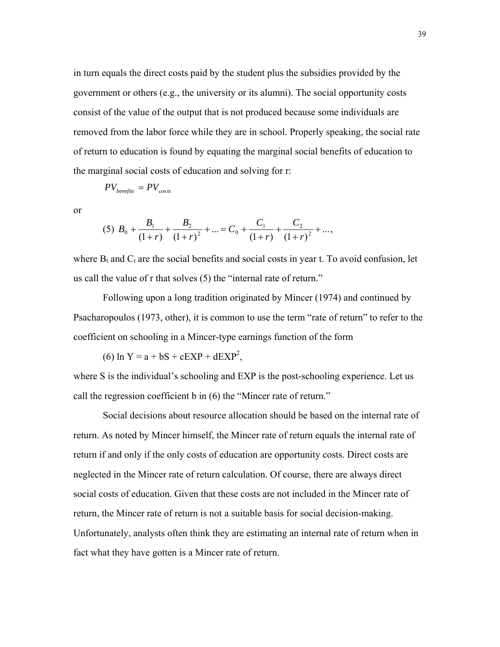in turn equals the direct costs paid by the student plus the subsidies provided by the government or others (e.g., the university or its alumni). The social opportunity costs consist of the value of the output that is not produced because some individuals are removed from the labor force while they are in school. Properly speaking, the social rate of return to education is found by equating the marginal social benefits of education to the marginal social costs of education and solving for r:

$$
PV_{\text{benefits}} = PV_{\cos ts}
$$

or

$$
(5) B_0 + \frac{B_1}{(1+r)} + \frac{B_2}{(1+r)^2} + \dots = C_0 + \frac{C_1}{(1+r)} + \frac{C_2}{(1+r)^2} + \dots,
$$

where  $B_t$  and  $C_t$  are the social benefits and social costs in year t. To avoid confusion, let us call the value of r that solves (5) the "internal rate of return."

 Following upon a long tradition originated by Mincer (1974) and continued by Psacharopoulos (1973, other), it is common to use the term "rate of return" to refer to the coefficient on schooling in a Mincer-type earnings function of the form

(6)  $\ln Y = a + bS + cEXP + dEXP^{2}$ ,

where S is the individual's schooling and EXP is the post-schooling experience. Let us call the regression coefficient b in (6) the "Mincer rate of return."

Social decisions about resource allocation should be based on the internal rate of return. As noted by Mincer himself, the Mincer rate of return equals the internal rate of return if and only if the only costs of education are opportunity costs. Direct costs are neglected in the Mincer rate of return calculation. Of course, there are always direct social costs of education. Given that these costs are not included in the Mincer rate of return, the Mincer rate of return is not a suitable basis for social decision-making. Unfortunately, analysts often think they are estimating an internal rate of return when in fact what they have gotten is a Mincer rate of return.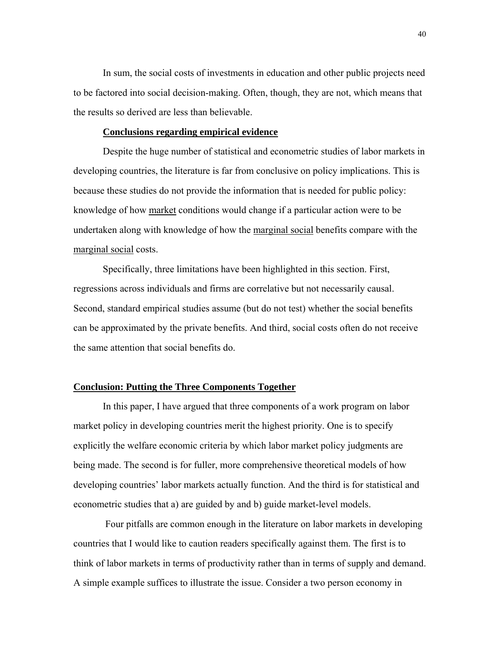In sum, the social costs of investments in education and other public projects need to be factored into social decision-making. Often, though, they are not, which means that the results so derived are less than believable.

## **Conclusions regarding empirical evidence**

 Despite the huge number of statistical and econometric studies of labor markets in developing countries, the literature is far from conclusive on policy implications. This is because these studies do not provide the information that is needed for public policy: knowledge of how market conditions would change if a particular action were to be undertaken along with knowledge of how the marginal social benefits compare with the marginal social costs.

 Specifically, three limitations have been highlighted in this section. First, regressions across individuals and firms are correlative but not necessarily causal. Second, standard empirical studies assume (but do not test) whether the social benefits can be approximated by the private benefits. And third, social costs often do not receive the same attention that social benefits do.

# **Conclusion: Putting the Three Components Together**

In this paper, I have argued that three components of a work program on labor market policy in developing countries merit the highest priority. One is to specify explicitly the welfare economic criteria by which labor market policy judgments are being made. The second is for fuller, more comprehensive theoretical models of how developing countries' labor markets actually function. And the third is for statistical and econometric studies that a) are guided by and b) guide market-level models.

 Four pitfalls are common enough in the literature on labor markets in developing countries that I would like to caution readers specifically against them. The first is to think of labor markets in terms of productivity rather than in terms of supply and demand. A simple example suffices to illustrate the issue. Consider a two person economy in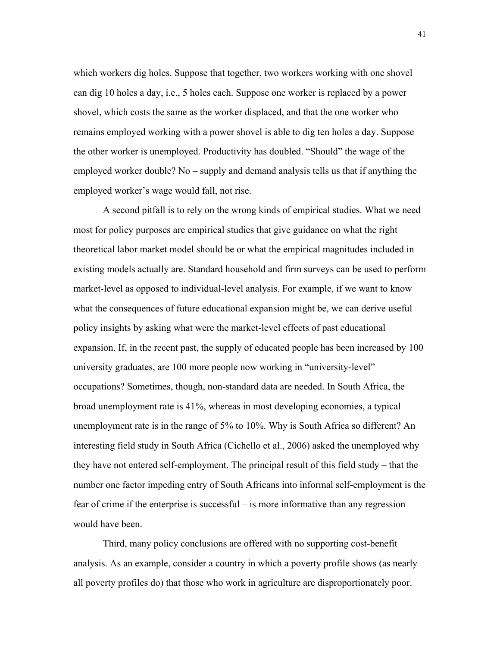which workers dig holes. Suppose that together, two workers working with one shovel can dig 10 holes a day, i.e., 5 holes each. Suppose one worker is replaced by a power shovel, which costs the same as the worker displaced, and that the one worker who remains employed working with a power shovel is able to dig ten holes a day. Suppose the other worker is unemployed. Productivity has doubled. "Should" the wage of the employed worker double? No – supply and demand analysis tells us that if anything the employed worker's wage would fall, not rise.

A second pitfall is to rely on the wrong kinds of empirical studies. What we need most for policy purposes are empirical studies that give guidance on what the right theoretical labor market model should be or what the empirical magnitudes included in existing models actually are. Standard household and firm surveys can be used to perform market-level as opposed to individual-level analysis. For example, if we want to know what the consequences of future educational expansion might be, we can derive useful policy insights by asking what were the market-level effects of past educational expansion. If, in the recent past, the supply of educated people has been increased by 100 university graduates, are 100 more people now working in "university-level" occupations? Sometimes, though, non-standard data are needed. In South Africa, the broad unemployment rate is 41%, whereas in most developing economies, a typical unemployment rate is in the range of 5% to 10%. Why is South Africa so different? An interesting field study in South Africa (Cichello et al., 2006) asked the unemployed why they have not entered self-employment. The principal result of this field study – that the number one factor impeding entry of South Africans into informal self-employment is the fear of crime if the enterprise is successful – is more informative than any regression would have been.

Third, many policy conclusions are offered with no supporting cost-benefit analysis. As an example, consider a country in which a poverty profile shows (as nearly all poverty profiles do) that those who work in agriculture are disproportionately poor.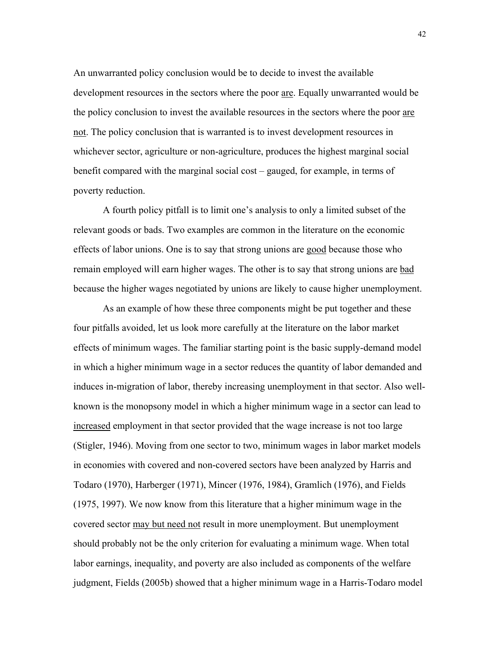An unwarranted policy conclusion would be to decide to invest the available development resources in the sectors where the poor are. Equally unwarranted would be the policy conclusion to invest the available resources in the sectors where the poor are not. The policy conclusion that is warranted is to invest development resources in whichever sector, agriculture or non-agriculture, produces the highest marginal social benefit compared with the marginal social cost – gauged, for example, in terms of poverty reduction.

A fourth policy pitfall is to limit one's analysis to only a limited subset of the relevant goods or bads. Two examples are common in the literature on the economic effects of labor unions. One is to say that strong unions are good because those who remain employed will earn higher wages. The other is to say that strong unions are bad because the higher wages negotiated by unions are likely to cause higher unemployment.

As an example of how these three components might be put together and these four pitfalls avoided, let us look more carefully at the literature on the labor market effects of minimum wages. The familiar starting point is the basic supply-demand model in which a higher minimum wage in a sector reduces the quantity of labor demanded and induces in-migration of labor, thereby increasing unemployment in that sector. Also wellknown is the monopsony model in which a higher minimum wage in a sector can lead to increased employment in that sector provided that the wage increase is not too large (Stigler, 1946). Moving from one sector to two, minimum wages in labor market models in economies with covered and non-covered sectors have been analyzed by Harris and Todaro (1970), Harberger (1971), Mincer (1976, 1984), Gramlich (1976), and Fields (1975, 1997). We now know from this literature that a higher minimum wage in the covered sector may but need not result in more unemployment. But unemployment should probably not be the only criterion for evaluating a minimum wage. When total labor earnings, inequality, and poverty are also included as components of the welfare judgment, Fields (2005b) showed that a higher minimum wage in a Harris-Todaro model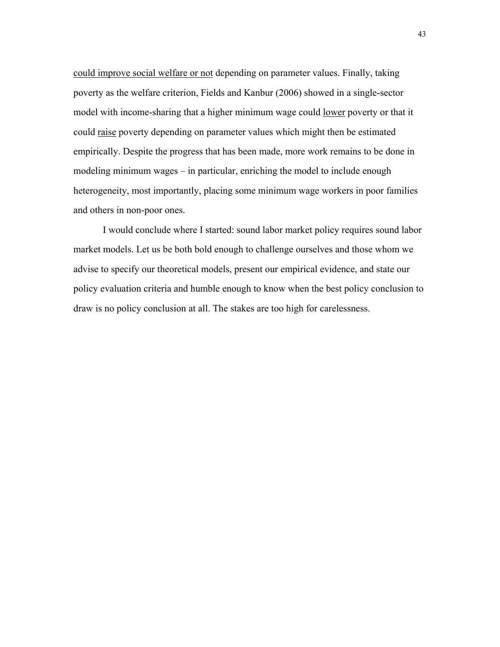could improve social welfare or not depending on parameter values. Finally, taking poverty as the welfare criterion, Fields and Kanbur (2006) showed in a single-sector model with income-sharing that a higher minimum wage could lower poverty or that it could raise poverty depending on parameter values which might then be estimated empirically. Despite the progress that has been made, more work remains to be done in modeling minimum wages – in particular, enriching the model to include enough heterogeneity, most importantly, placing some minimum wage workers in poor families and others in non-poor ones.

I would conclude where I started: sound labor market policy requires sound labor market models. Let us be both bold enough to challenge ourselves and those whom we advise to specify our theoretical models, present our empirical evidence, and state our policy evaluation criteria and humble enough to know when the best policy conclusion to draw is no policy conclusion at all. The stakes are too high for carelessness.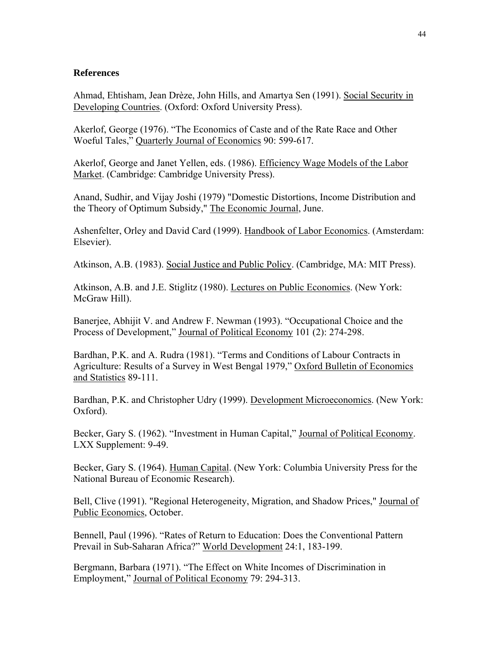# **References**

Ahmad, Ehtisham, Jean Drèze, John Hills, and Amartya Sen (1991). Social Security in Developing Countries. (Oxford: Oxford University Press).

Akerlof, George (1976). "The Economics of Caste and of the Rate Race and Other Woeful Tales," Quarterly Journal of Economics 90: 599-617.

Akerlof, George and Janet Yellen, eds. (1986). Efficiency Wage Models of the Labor Market. (Cambridge: Cambridge University Press).

Anand, Sudhir, and Vijay Joshi (1979) "Domestic Distortions, Income Distribution and the Theory of Optimum Subsidy," The Economic Journal, June.

Ashenfelter, Orley and David Card (1999). Handbook of Labor Economics. (Amsterdam: Elsevier).

Atkinson, A.B. (1983). Social Justice and Public Policy. (Cambridge, MA: MIT Press).

Atkinson, A.B. and J.E. Stiglitz (1980). Lectures on Public Economics. (New York: McGraw Hill).

Banerjee, Abhijit V. and Andrew F. Newman (1993). "Occupational Choice and the Process of Development," Journal of Political Economy 101 (2): 274-298.

Bardhan, P.K. and A. Rudra (1981). "Terms and Conditions of Labour Contracts in Agriculture: Results of a Survey in West Bengal 1979," Oxford Bulletin of Economics and Statistics 89-111.

Bardhan, P.K. and Christopher Udry (1999). Development Microeconomics. (New York: Oxford).

Becker, Gary S. (1962). "Investment in Human Capital," Journal of Political Economy. LXX Supplement: 9-49.

Becker, Gary S. (1964). Human Capital. (New York: Columbia University Press for the National Bureau of Economic Research).

Bell, Clive (1991). "Regional Heterogeneity, Migration, and Shadow Prices," Journal of Public Economics, October.

Bennell, Paul (1996). "Rates of Return to Education: Does the Conventional Pattern Prevail in Sub-Saharan Africa?" World Development 24:1, 183-199.

Bergmann, Barbara (1971). "The Effect on White Incomes of Discrimination in Employment," Journal of Political Economy 79: 294-313.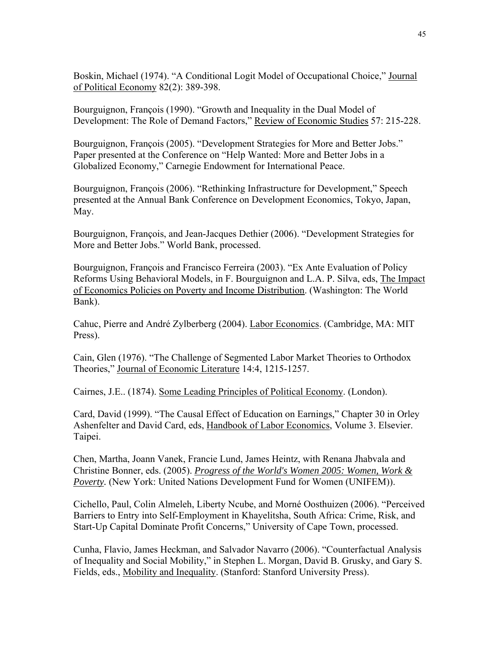Boskin, Michael (1974). "A Conditional Logit Model of Occupational Choice," Journal of Political Economy 82(2): 389-398.

Bourguignon, François (1990). "Growth and Inequality in the Dual Model of Development: The Role of Demand Factors," Review of Economic Studies 57: 215-228.

Bourguignon, François (2005). "Development Strategies for More and Better Jobs." Paper presented at the Conference on "Help Wanted: More and Better Jobs in a Globalized Economy," Carnegie Endowment for International Peace.

Bourguignon, François (2006). "Rethinking Infrastructure for Development," Speech presented at the Annual Bank Conference on Development Economics, Tokyo, Japan, May.

Bourguignon, François, and Jean-Jacques Dethier (2006). "Development Strategies for More and Better Jobs." World Bank, processed.

Bourguignon, François and Francisco Ferreira (2003). "Ex Ante Evaluation of Policy Reforms Using Behavioral Models, in F. Bourguignon and L.A. P. Silva, eds, The Impact of Economics Policies on Poverty and Income Distribution. (Washington: The World Bank).

Cahuc, Pierre and André Zylberberg (2004). Labor Economics. (Cambridge, MA: MIT Press).

Cain, Glen (1976). "The Challenge of Segmented Labor Market Theories to Orthodox Theories," Journal of Economic Literature 14:4, 1215-1257.

Cairnes, J.E.. (1874). Some Leading Principles of Political Economy. (London).

Card, David (1999). "The Causal Effect of Education on Earnings," Chapter 30 in Orley Ashenfelter and David Card, eds, Handbook of Labor Economics, Volume 3. Elsevier. Taipei.

Chen, Martha, Joann Vanek, Francie Lund, James Heintz, with Renana Jhabvala and Christine Bonner, eds. (2005). *Progress of the World's Women 2005: Women, Work & Poverty.* (New York: United Nations Development Fund for Women (UNIFEM)).

Cichello, Paul, Colin Almeleh, Liberty Ncube, and Morné Oosthuizen (2006). "Perceived Barriers to Entry into Self-Employment in Khayelitsha, South Africa: Crime, Risk, and Start-Up Capital Dominate Profit Concerns," University of Cape Town, processed.

Cunha, Flavio, James Heckman, and Salvador Navarro (2006). "Counterfactual Analysis of Inequality and Social Mobility," in Stephen L. Morgan, David B. Grusky, and Gary S. Fields, eds., Mobility and Inequality. (Stanford: Stanford University Press).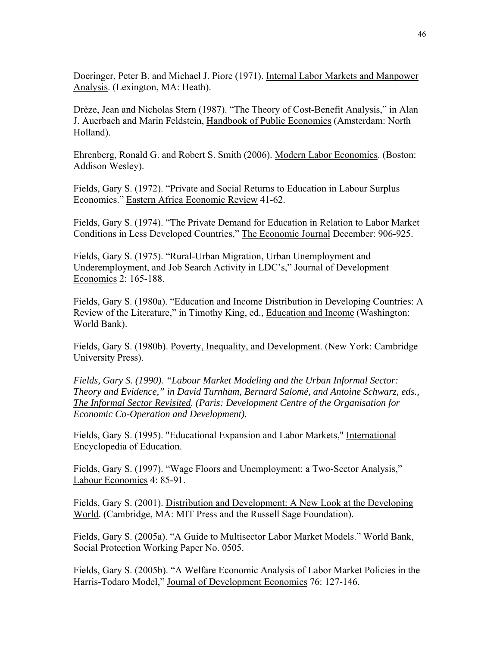Doeringer, Peter B. and Michael J. Piore (1971). Internal Labor Markets and Manpower Analysis. (Lexington, MA: Heath).

Drèze, Jean and Nicholas Stern (1987). "The Theory of Cost-Benefit Analysis," in Alan J. Auerbach and Marin Feldstein, Handbook of Public Economics (Amsterdam: North Holland).

Ehrenberg, Ronald G. and Robert S. Smith (2006). Modern Labor Economics. (Boston: Addison Wesley).

Fields, Gary S. (1972). "Private and Social Returns to Education in Labour Surplus Economies." Eastern Africa Economic Review 41-62.

Fields, Gary S. (1974). "The Private Demand for Education in Relation to Labor Market Conditions in Less Developed Countries," The Economic Journal December: 906-925.

Fields, Gary S. (1975). "Rural-Urban Migration, Urban Unemployment and Underemployment, and Job Search Activity in LDC's," Journal of Development Economics 2: 165-188.

Fields, Gary S. (1980a). "Education and Income Distribution in Developing Countries: A Review of the Literature," in Timothy King, ed., Education and Income (Washington: World Bank).

Fields, Gary S. (1980b). Poverty, Inequality, and Development. (New York: Cambridge University Press).

*Fields, Gary S. (1990). "Labour Market Modeling and the Urban Informal Sector: Theory and Evidence," in David Turnham, Bernard Salomé, and Antoine Schwarz, eds., The Informal Sector Revisited. (Paris: Development Centre of the Organisation for Economic Co-Operation and Development).*

Fields, Gary S. (1995). "Educational Expansion and Labor Markets," International Encyclopedia of Education.

Fields, Gary S. (1997). "Wage Floors and Unemployment: a Two-Sector Analysis," Labour Economics 4: 85-91.

Fields, Gary S. (2001). Distribution and Development: A New Look at the Developing World. (Cambridge, MA: MIT Press and the Russell Sage Foundation).

Fields, Gary S. (2005a). "A Guide to Multisector Labor Market Models." World Bank, Social Protection Working Paper No. 0505.

Fields, Gary S. (2005b). "A Welfare Economic Analysis of Labor Market Policies in the Harris-Todaro Model," Journal of Development Economics 76: 127-146.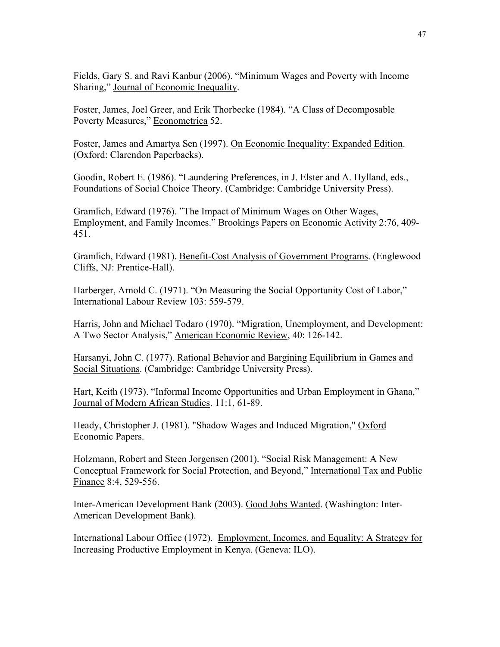Fields, Gary S. and Ravi Kanbur (2006). "Minimum Wages and Poverty with Income Sharing," Journal of Economic Inequality.

Foster, James, Joel Greer, and Erik Thorbecke (1984). "A Class of Decomposable Poverty Measures," Econometrica 52.

Foster, James and Amartya Sen (1997). On Economic Inequality: Expanded Edition. (Oxford: Clarendon Paperbacks).

Goodin, Robert E. (1986). "Laundering Preferences, in J. Elster and A. Hylland, eds., Foundations of Social Choice Theory. (Cambridge: Cambridge University Press).

Gramlich, Edward (1976). "The Impact of Minimum Wages on Other Wages, Employment, and Family Incomes." Brookings Papers on Economic Activity 2:76, 409- 451.

Gramlich, Edward (1981). Benefit-Cost Analysis of Government Programs. (Englewood Cliffs, NJ: Prentice-Hall).

Harberger, Arnold C. (1971). "On Measuring the Social Opportunity Cost of Labor," International Labour Review 103: 559-579.

Harris, John and Michael Todaro (1970). "Migration, Unemployment, and Development: A Two Sector Analysis," American Economic Review, 40: 126-142.

Harsanyi, John C. (1977). Rational Behavior and Bargining Equilibrium in Games and Social Situations. (Cambridge: Cambridge University Press).

Hart, Keith (1973). "Informal Income Opportunities and Urban Employment in Ghana," Journal of Modern African Studies. 11:1, 61-89.

Heady, Christopher J. (1981). "Shadow Wages and Induced Migration," Oxford Economic Papers.

Holzmann, Robert and Steen Jorgensen (2001). "Social Risk Management: A New Conceptual Framework for Social Protection, and Beyond," International Tax and Public Finance 8:4, 529-556.

Inter-American Development Bank (2003). Good Jobs Wanted. (Washington: Inter-American Development Bank).

International Labour Office (1972). Employment, Incomes, and Equality: A Strategy for Increasing Productive Employment in Kenya. (Geneva: ILO).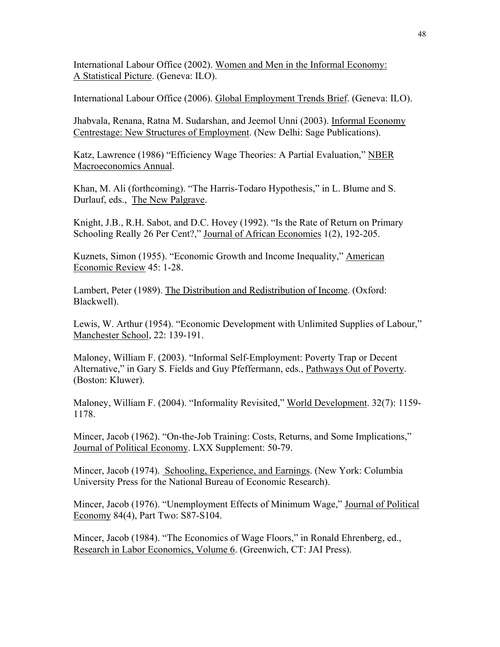International Labour Office (2002). Women and Men in the Informal Economy: A Statistical Picture. (Geneva: ILO).

International Labour Office (2006). Global Employment Trends Brief. (Geneva: ILO).

Jhabvala, Renana, Ratna M. Sudarshan, and Jeemol Unni (2003). Informal Economy Centrestage: New Structures of Employment. (New Delhi: Sage Publications).

Katz, Lawrence (1986) "Efficiency Wage Theories: A Partial Evaluation," NBER Macroeconomics Annual.

Khan, M. Ali (forthcoming). "The Harris-Todaro Hypothesis," in L. Blume and S. Durlauf, eds., The New Palgrave.

Knight, J.B., R.H. Sabot, and D.C. Hovey (1992). "Is the Rate of Return on Primary Schooling Really 26 Per Cent?," Journal of African Economies 1(2), 192-205.

Kuznets, Simon (1955). "Economic Growth and Income Inequality," American Economic Review 45: 1-28.

Lambert, Peter (1989). The Distribution and Redistribution of Income. (Oxford: Blackwell).

Lewis, W. Arthur (1954). "Economic Development with Unlimited Supplies of Labour," Manchester School, 22: 139-191.

Maloney, William F. (2003). "Informal Self-Employment: Poverty Trap or Decent Alternative," in Gary S. Fields and Guy Pfeffermann, eds., Pathways Out of Poverty. (Boston: Kluwer).

Maloney, William F. (2004). "Informality Revisited," World Development. 32(7): 1159- 1178.

Mincer, Jacob (1962). "On-the-Job Training: Costs, Returns, and Some Implications," Journal of Political Economy. LXX Supplement: 50-79.

Mincer, Jacob (1974). Schooling, Experience, and Earnings. (New York: Columbia University Press for the National Bureau of Economic Research).

Mincer, Jacob (1976). "Unemployment Effects of Minimum Wage," Journal of Political Economy 84(4), Part Two: S87-S104.

Mincer, Jacob (1984). "The Economics of Wage Floors," in Ronald Ehrenberg, ed., Research in Labor Economics, Volume 6. (Greenwich, CT: JAI Press).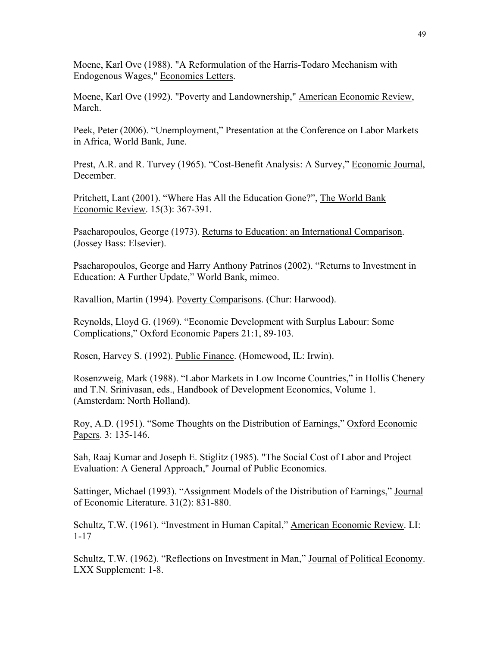Moene, Karl Ove (1988). "A Reformulation of the Harris-Todaro Mechanism with Endogenous Wages," Economics Letters.

Moene, Karl Ove (1992). "Poverty and Landownership," American Economic Review, March.

Peek, Peter (2006). "Unemployment," Presentation at the Conference on Labor Markets in Africa, World Bank, June.

Prest, A.R. and R. Turvey (1965). "Cost-Benefit Analysis: A Survey," Economic Journal, December.

Pritchett, Lant (2001). "Where Has All the Education Gone?", The World Bank Economic Review. 15(3): 367-391.

Psacharopoulos, George (1973). Returns to Education: an International Comparison. (Jossey Bass: Elsevier).

Psacharopoulos, George and Harry Anthony Patrinos (2002). "Returns to Investment in Education: A Further Update," World Bank, mimeo.

Ravallion, Martin (1994). Poverty Comparisons. (Chur: Harwood).

Reynolds, Lloyd G. (1969). "Economic Development with Surplus Labour: Some Complications," Oxford Economic Papers 21:1, 89-103.

Rosen, Harvey S. (1992). Public Finance. (Homewood, IL: Irwin).

Rosenzweig, Mark (1988). "Labor Markets in Low Income Countries," in Hollis Chenery and T.N. Srinivasan, eds., Handbook of Development Economics, Volume 1. (Amsterdam: North Holland).

Roy, A.D. (1951). "Some Thoughts on the Distribution of Earnings," Oxford Economic Papers. 3: 135-146.

Sah, Raaj Kumar and Joseph E. Stiglitz (1985). "The Social Cost of Labor and Project Evaluation: A General Approach," Journal of Public Economics.

Sattinger, Michael (1993). "Assignment Models of the Distribution of Earnings," Journal of Economic Literature. 31(2): 831-880.

Schultz, T.W. (1961). "Investment in Human Capital," American Economic Review. LI: 1-17

Schultz, T.W. (1962). "Reflections on Investment in Man," Journal of Political Economy. LXX Supplement: 1-8.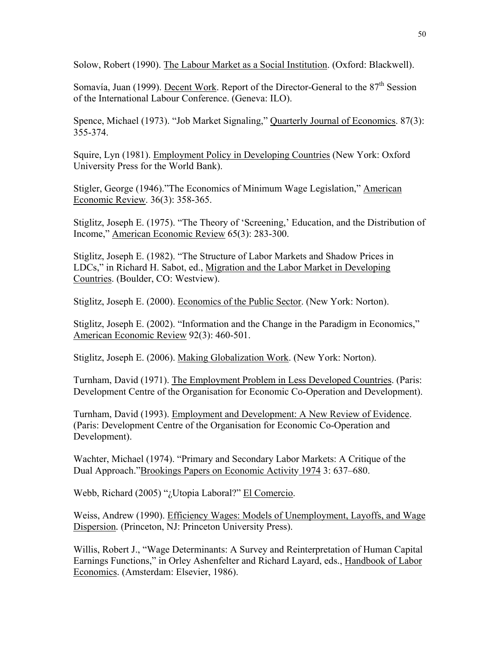Solow, Robert (1990). The Labour Market as a Social Institution. (Oxford: Blackwell).

Somavía, Juan (1999). Decent Work. Report of the Director-General to the  $87<sup>th</sup>$  Session of the International Labour Conference. (Geneva: ILO).

Spence, Michael (1973). "Job Market Signaling," Quarterly Journal of Economics. 87(3): 355-374.

Squire, Lyn (1981). Employment Policy in Developing Countries (New York: Oxford University Press for the World Bank).

Stigler, George (1946)."The Economics of Minimum Wage Legislation," American Economic Review. 36(3): 358-365.

Stiglitz, Joseph E. (1975). "The Theory of 'Screening,' Education, and the Distribution of Income," American Economic Review 65(3): 283-300.

Stiglitz, Joseph E. (1982). "The Structure of Labor Markets and Shadow Prices in LDCs," in Richard H. Sabot, ed., Migration and the Labor Market in Developing Countries. (Boulder, CO: Westview).

Stiglitz, Joseph E. (2000). Economics of the Public Sector. (New York: Norton).

Stiglitz, Joseph E. (2002). "Information and the Change in the Paradigm in Economics," American Economic Review 92(3): 460-501.

Stiglitz, Joseph E. (2006). Making Globalization Work. (New York: Norton).

Turnham, David (1971). The Employment Problem in Less Developed Countries. (Paris: Development Centre of the Organisation for Economic Co-Operation and Development).

Turnham, David (1993). Employment and Development: A New Review of Evidence. (Paris: Development Centre of the Organisation for Economic Co-Operation and Development).

Wachter, Michael (1974). "Primary and Secondary Labor Markets: A Critique of the Dual Approach."Brookings Papers on Economic Activity 1974 3: 637–680.

Webb, Richard (2005) "¿Utopia Laboral?" El Comercio.

Weiss, Andrew (1990). Efficiency Wages: Models of Unemployment, Layoffs, and Wage Dispersion*.* (Princeton, NJ: Princeton University Press).

Willis, Robert J., "Wage Determinants: A Survey and Reinterpretation of Human Capital Earnings Functions," in Orley Ashenfelter and Richard Layard, eds., Handbook of Labor Economics. (Amsterdam: Elsevier, 1986).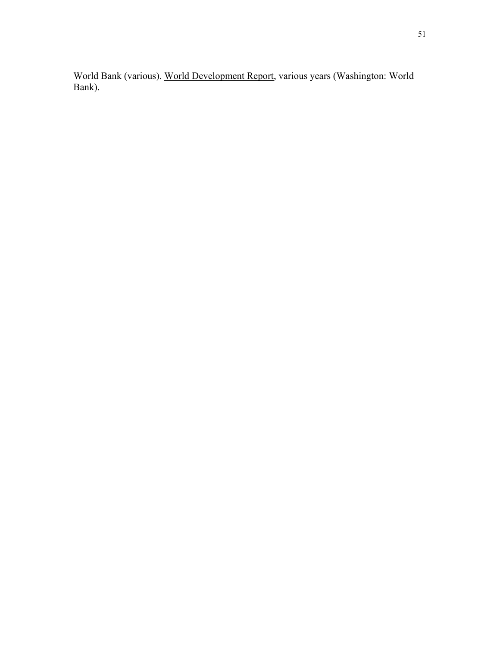World Bank (various). World Development Report, various years (Washington: World Bank).